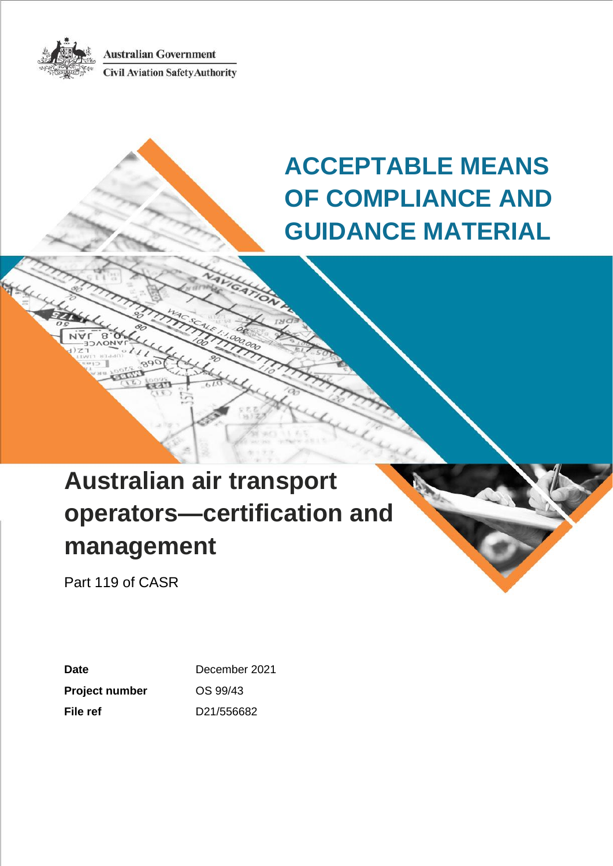**Australian Government Civil Aviation Safety Authority** 



**ACCEPTABLE MEANS OF COMPLIANCE AND GUIDANCE MATERIAL**

# **Australian air transport operators—certification and management**

Part 119 of CASR

| Date                  | December 2021<br>OS 99/43 |  |
|-----------------------|---------------------------|--|
| <b>Project number</b> |                           |  |
| File ref              | D21/556682                |  |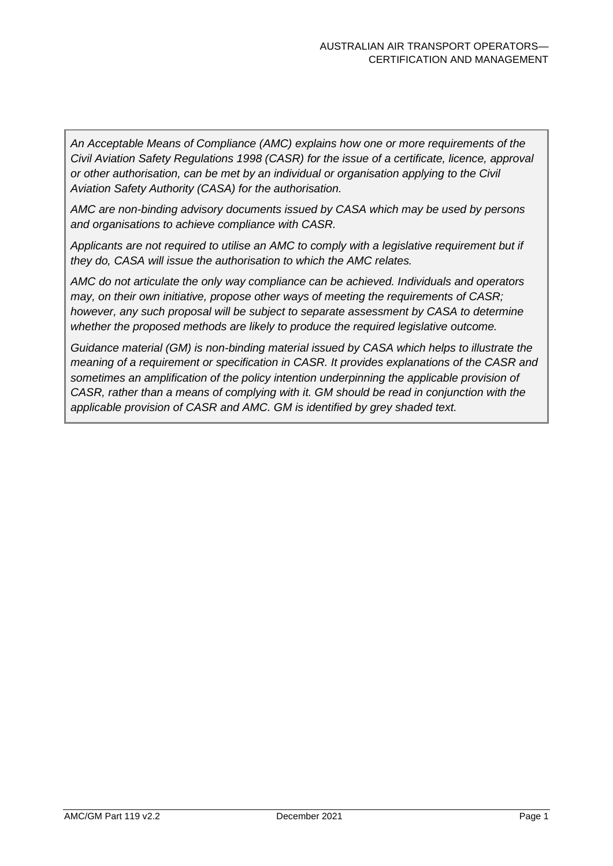*An Acceptable Means of Compliance (AMC) explains how one or more requirements of the Civil Aviation Safety Regulations 1998 (CASR) for the issue of a certificate, licence, approval or other authorisation, can be met by an individual or organisation applying to the Civil Aviation Safety Authority (CASA) for the authorisation.*

*AMC are non-binding advisory documents issued by CASA which may be used by persons and organisations to achieve compliance with CASR.* 

*Applicants are not required to utilise an AMC to comply with a legislative requirement but if they do, CASA will issue the authorisation to which the AMC relates.*

*AMC do not articulate the only way compliance can be achieved. Individuals and operators may, on their own initiative, propose other ways of meeting the requirements of CASR; however, any such proposal will be subject to separate assessment by CASA to determine whether the proposed methods are likely to produce the required legislative outcome.*

*Guidance material (GM) is non-binding material issued by CASA which helps to illustrate the meaning of a requirement or specification in CASR. It provides explanations of the CASR and*  sometimes an amplification of the policy intention underpinning the applicable provision of *CASR, rather than a means of complying with it. GM should be read in conjunction with the applicable provision of CASR and AMC. GM is identified by grey shaded text.*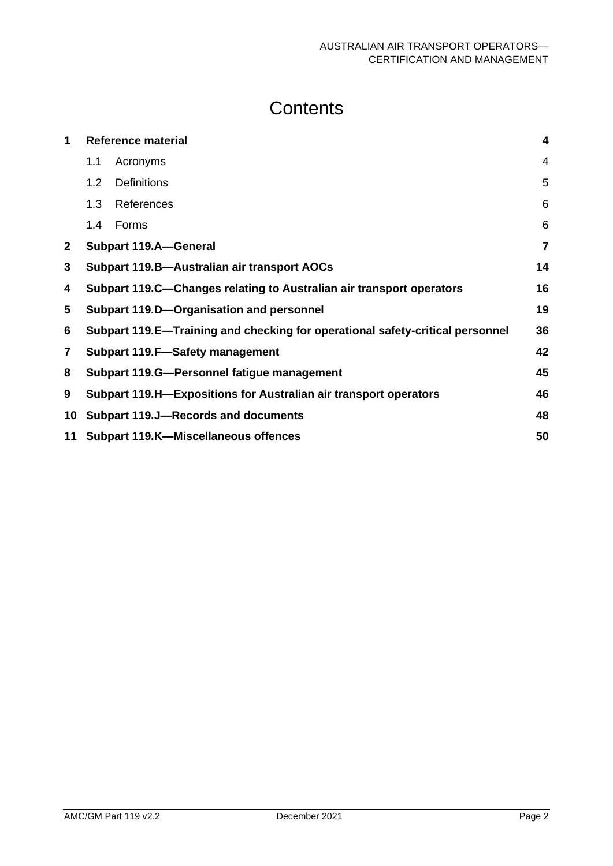### **Contents**

| 1              |     | <b>Reference material</b>                                                     | 4  |
|----------------|-----|-------------------------------------------------------------------------------|----|
|                | 1.1 | Acronyms                                                                      | 4  |
|                | 1.2 | <b>Definitions</b>                                                            | 5  |
|                | 1.3 | References                                                                    | 6  |
|                | 1.4 | Forms                                                                         | 6  |
| $\mathbf{2}$   |     | <b>Subpart 119.A-General</b>                                                  | 7  |
| 3              |     | Subpart 119.B-Australian air transport AOCs                                   | 14 |
| 4              |     | Subpart 119.C—Changes relating to Australian air transport operators          | 16 |
| 5              |     | Subpart 119.D-Organisation and personnel                                      | 19 |
| 6              |     | Subpart 119.E—Training and checking for operational safety-critical personnel | 36 |
| $\overline{7}$ |     | Subpart 119.F-Safety management                                               | 42 |
| 8              |     | Subpart 119.G-Personnel fatigue management                                    | 45 |
| 9              |     | Subpart 119.H-Expositions for Australian air transport operators              | 46 |
| 10             |     | <b>Subpart 119.J-Records and documents</b>                                    | 48 |
| 11             |     | <b>Subpart 119.K-Miscellaneous offences</b>                                   | 50 |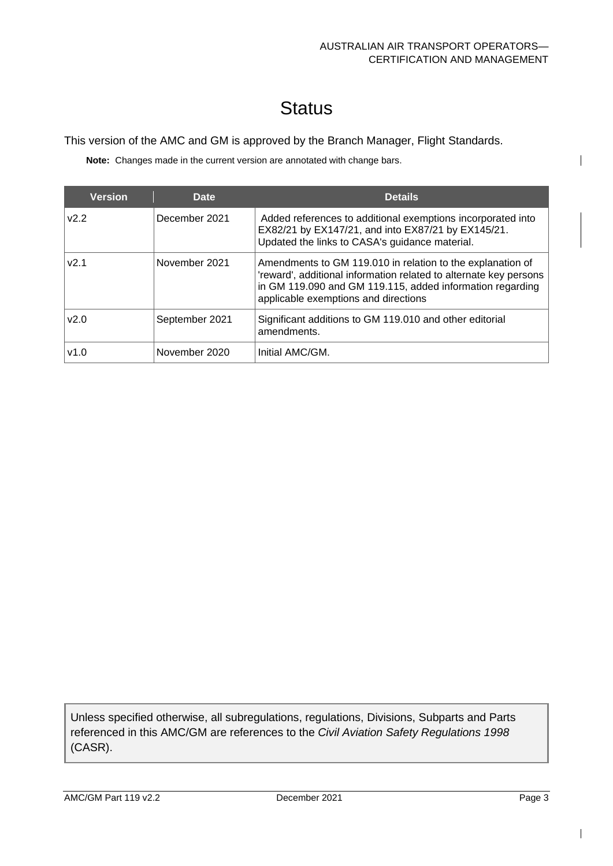$\mathsf{I}$ 

# **Status**

This version of the AMC and GM is approved by the Branch Manager, Flight Standards.

**Note:** Changes made in the current version are annotated with change bars.

| <b>Version</b> | <b>Date</b>    | <b>Details</b>                                                                                                                                                                                                                       |
|----------------|----------------|--------------------------------------------------------------------------------------------------------------------------------------------------------------------------------------------------------------------------------------|
| V2.2           | December 2021  | Added references to additional exemptions incorporated into<br>EX82/21 by EX147/21, and into EX87/21 by EX145/21.<br>Updated the links to CASA's guidance material.                                                                  |
| v2.1           | November 2021  | Amendments to GM 119.010 in relation to the explanation of<br>'reward', additional information related to alternate key persons<br>in GM 119.090 and GM 119.115, added information regarding<br>applicable exemptions and directions |
| v2.0           | September 2021 | Significant additions to GM 119.010 and other editorial<br>amendments.                                                                                                                                                               |
| v1.0           | November 2020  | Initial AMC/GM.                                                                                                                                                                                                                      |

Unless specified otherwise, all subregulations, regulations, Divisions, Subparts and Parts referenced in this AMC/GM are references to the *Civil Aviation Safety Regulations 1998*  (CASR).

 $\mathsf{l}$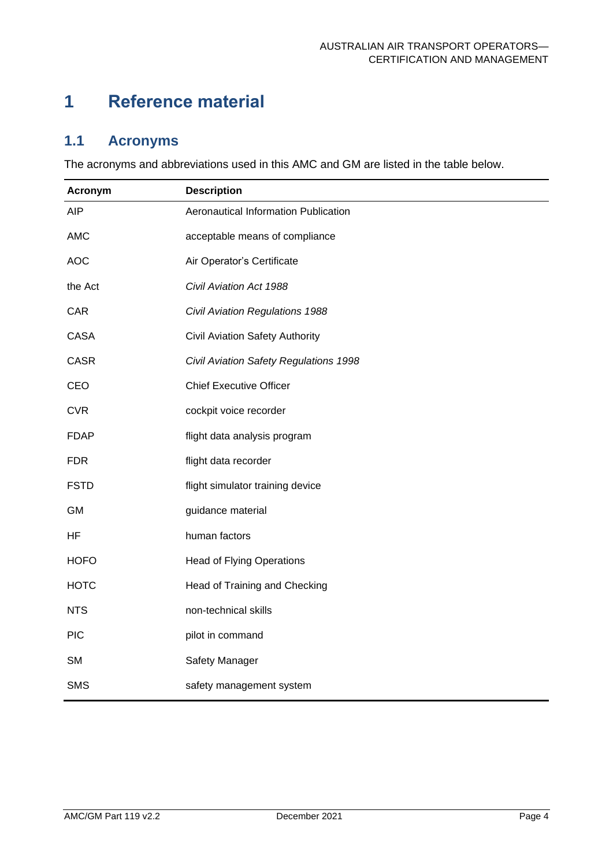### <span id="page-4-0"></span>**1 Reference material**

### <span id="page-4-1"></span>**1.1 Acronyms**

The acronyms and abbreviations used in this AMC and GM are listed in the table below.

| Acronym     | <b>Description</b>                     |
|-------------|----------------------------------------|
| <b>AIP</b>  | Aeronautical Information Publication   |
| <b>AMC</b>  | acceptable means of compliance         |
| <b>AOC</b>  | Air Operator's Certificate             |
| the Act     | Civil Aviation Act 1988                |
| <b>CAR</b>  | Civil Aviation Regulations 1988        |
| <b>CASA</b> | Civil Aviation Safety Authority        |
| <b>CASR</b> | Civil Aviation Safety Regulations 1998 |
| CEO         | <b>Chief Executive Officer</b>         |
| <b>CVR</b>  | cockpit voice recorder                 |
| <b>FDAP</b> | flight data analysis program           |
| <b>FDR</b>  | flight data recorder                   |
| <b>FSTD</b> | flight simulator training device       |
| <b>GM</b>   | guidance material                      |
| HF          | human factors                          |
| <b>HOFO</b> | <b>Head of Flying Operations</b>       |
| <b>HOTC</b> | Head of Training and Checking          |
| <b>NTS</b>  | non-technical skills                   |
| <b>PIC</b>  | pilot in command                       |
| <b>SM</b>   | Safety Manager                         |
| <b>SMS</b>  | safety management system               |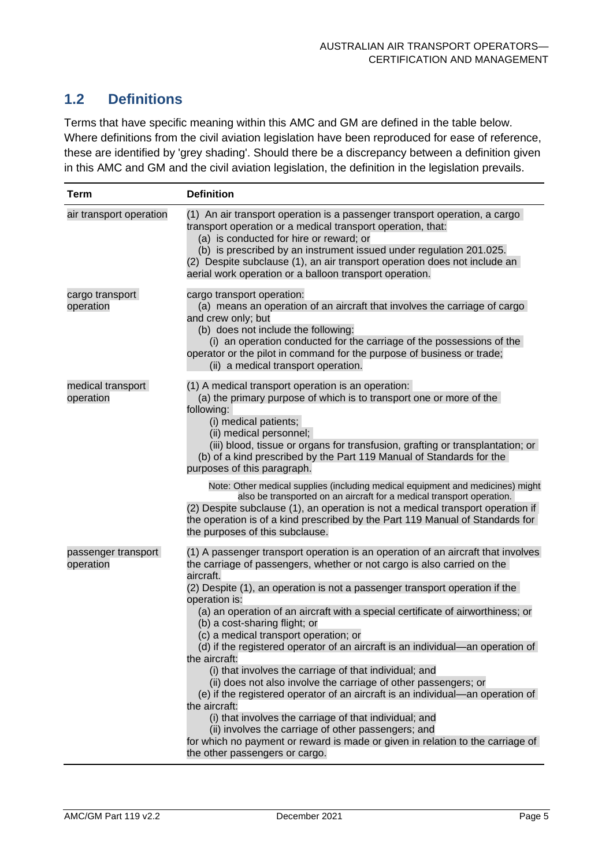### <span id="page-5-0"></span>**1.2 Definitions**

Terms that have specific meaning within this AMC and GM are defined in the table below. Where definitions from the civil aviation legislation have been reproduced for ease of reference, these are identified by 'grey shading'. Should there be a discrepancy between a definition given in this AMC and GM and the civil aviation legislation, the definition in the legislation prevails.

| <b>Term</b>                      | <b>Definition</b>                                                                                                                                                                                                                                                                                                                                                                                                                                                                                                                                                                                                                                                                                                                                                                                                                                                                                                                                                                                             |
|----------------------------------|---------------------------------------------------------------------------------------------------------------------------------------------------------------------------------------------------------------------------------------------------------------------------------------------------------------------------------------------------------------------------------------------------------------------------------------------------------------------------------------------------------------------------------------------------------------------------------------------------------------------------------------------------------------------------------------------------------------------------------------------------------------------------------------------------------------------------------------------------------------------------------------------------------------------------------------------------------------------------------------------------------------|
| air transport operation          | (1) An air transport operation is a passenger transport operation, a cargo<br>transport operation or a medical transport operation, that:<br>(a) is conducted for hire or reward; or<br>(b) is prescribed by an instrument issued under regulation 201.025.<br>(2) Despite subclause (1), an air transport operation does not include an<br>aerial work operation or a balloon transport operation.                                                                                                                                                                                                                                                                                                                                                                                                                                                                                                                                                                                                           |
| cargo transport<br>operation     | cargo transport operation:<br>(a) means an operation of an aircraft that involves the carriage of cargo<br>and crew only; but<br>(b) does not include the following:<br>(i) an operation conducted for the carriage of the possessions of the<br>operator or the pilot in command for the purpose of business or trade;<br>(ii) a medical transport operation.                                                                                                                                                                                                                                                                                                                                                                                                                                                                                                                                                                                                                                                |
| medical transport<br>operation   | (1) A medical transport operation is an operation:<br>(a) the primary purpose of which is to transport one or more of the<br>following:<br>(i) medical patients;<br>(ii) medical personnel;<br>(iii) blood, tissue or organs for transfusion, grafting or transplantation; or<br>(b) of a kind prescribed by the Part 119 Manual of Standards for the<br>purposes of this paragraph.<br>Note: Other medical supplies (including medical equipment and medicines) might<br>also be transported on an aircraft for a medical transport operation.<br>(2) Despite subclause (1), an operation is not a medical transport operation if                                                                                                                                                                                                                                                                                                                                                                            |
|                                  | the operation is of a kind prescribed by the Part 119 Manual of Standards for<br>the purposes of this subclause.                                                                                                                                                                                                                                                                                                                                                                                                                                                                                                                                                                                                                                                                                                                                                                                                                                                                                              |
| passenger transport<br>operation | (1) A passenger transport operation is an operation of an aircraft that involves<br>the carriage of passengers, whether or not cargo is also carried on the<br>aircraft.<br>(2) Despite (1), an operation is not a passenger transport operation if the<br>operation is:<br>(a) an operation of an aircraft with a special certificate of airworthiness; or<br>(b) a cost-sharing flight; or<br>(c) a medical transport operation; or<br>(d) if the registered operator of an aircraft is an individual-an operation of<br>the aircraft:<br>(i) that involves the carriage of that individual; and<br>(ii) does not also involve the carriage of other passengers; or<br>(e) if the registered operator of an aircraft is an individual-an operation of<br>the aircraft:<br>(i) that involves the carriage of that individual; and<br>(ii) involves the carriage of other passengers; and<br>for which no payment or reward is made or given in relation to the carriage of<br>the other passengers or cargo. |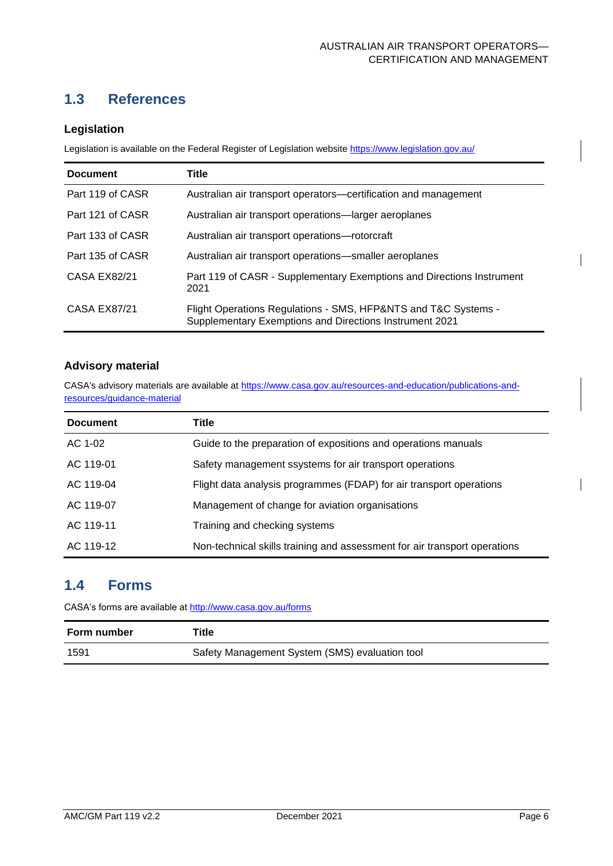### <span id="page-6-0"></span>**1.3 References**

#### **Legislation**

Legislation is available on the Federal Register of Legislation website<https://www.legislation.gov.au/>

| <b>Document</b>  | <b>Title</b>                                                                                                              |
|------------------|---------------------------------------------------------------------------------------------------------------------------|
| Part 119 of CASR | Australian air transport operators—certification and management                                                           |
| Part 121 of CASR | Australian air transport operations—larger aeroplanes                                                                     |
| Part 133 of CASR | Australian air transport operations-rotorcraft                                                                            |
| Part 135 of CASR | Australian air transport operations—smaller aeroplanes                                                                    |
| CASA EX82/21     | Part 119 of CASR - Supplementary Exemptions and Directions Instrument<br>2021                                             |
| CASA EX87/21     | Flight Operations Regulations - SMS, HFP&NTS and T&C Systems -<br>Supplementary Exemptions and Directions Instrument 2021 |

#### **Advisory material**

CASA's advisory materials are available at [https://www.casa.gov.au/resources-and-education/publications-and](https://www.casa.gov.au/resources-and-education/publications-and-resources/guidance-material)[resources/guidance-material](https://www.casa.gov.au/resources-and-education/publications-and-resources/guidance-material)

| <b>Document</b> | Title                                                                     |
|-----------------|---------------------------------------------------------------------------|
| AC 1-02         | Guide to the preparation of expositions and operations manuals            |
| AC 119-01       | Safety management ssystems for air transport operations                   |
| AC 119-04       | Flight data analysis programmes (FDAP) for air transport operations       |
| AC 119-07       | Management of change for aviation organisations                           |
| AC 119-11       | Training and checking systems                                             |
| AC 119-12       | Non-technical skills training and assessment for air transport operations |

### <span id="page-6-1"></span>**1.4 Forms**

CASA's forms are available at<http://www.casa.gov.au/forms>

| Form number | Title                                          |
|-------------|------------------------------------------------|
| 1591        | Safety Management System (SMS) evaluation tool |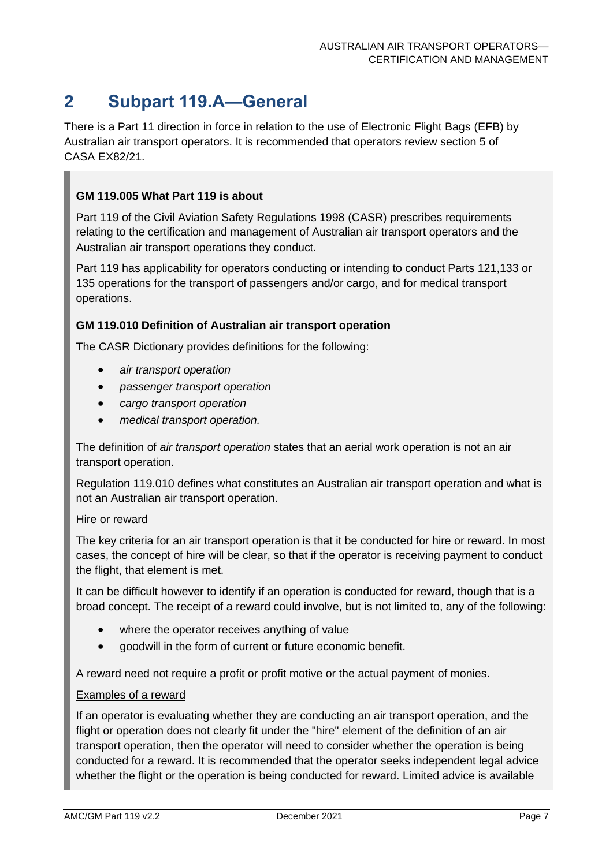### <span id="page-7-0"></span>**2 Subpart 119.A—General**

There is a Part 11 direction in force in relation to the use of Electronic Flight Bags (EFB) by Australian air transport operators. It is recommended that operators review section 5 of CASA EX82/21.

#### **GM 119.005 What Part 119 is about**

Part 119 of the Civil Aviation Safety Regulations 1998 (CASR) prescribes requirements relating to the certification and management of Australian air transport operators and the Australian air transport operations they conduct.

Part 119 has applicability for operators conducting or intending to conduct Parts 121,133 or 135 operations for the transport of passengers and/or cargo, and for medical transport operations.

#### **GM 119.010 Definition of Australian air transport operation**

The CASR Dictionary provides definitions for the following:

- *air transport operation*
- *passenger transport operation*
- *cargo transport operation*
- *medical transport operation.*

The definition of *air transport operation* states that an aerial work operation is not an air transport operation.

Regulation 119.010 defines what constitutes an Australian air transport operation and what is not an Australian air transport operation.

#### Hire or reward

The key criteria for an air transport operation is that it be conducted for hire or reward. In most cases, the concept of hire will be clear, so that if the operator is receiving payment to conduct the flight, that element is met.

It can be difficult however to identify if an operation is conducted for reward, though that is a broad concept. The receipt of a reward could involve, but is not limited to, any of the following:

- where the operator receives anything of value
- goodwill in the form of current or future economic benefit.

A reward need not require a profit or profit motive or the actual payment of monies.

#### Examples of a reward

If an operator is evaluating whether they are conducting an air transport operation, and the flight or operation does not clearly fit under the "hire" element of the definition of an air transport operation, then the operator will need to consider whether the operation is being conducted for a reward. It is recommended that the operator seeks independent legal advice whether the flight or the operation is being conducted for reward. Limited advice is available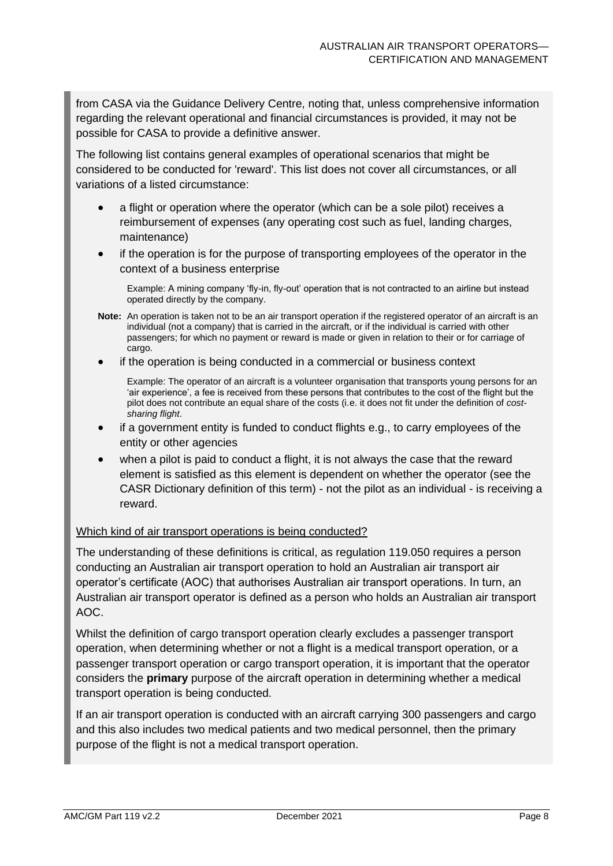from CASA via the Guidance Delivery Centre, noting that, unless comprehensive information regarding the relevant operational and financial circumstances is provided, it may not be possible for CASA to provide a definitive answer.

The following list contains general examples of operational scenarios that might be considered to be conducted for 'reward'. This list does not cover all circumstances, or all variations of a listed circumstance:

- a flight or operation where the operator (which can be a sole pilot) receives a reimbursement of expenses (any operating cost such as fuel, landing charges, maintenance)
- if the operation is for the purpose of transporting employees of the operator in the context of a business enterprise

Example: A mining company 'fly-in, fly-out' operation that is not contracted to an airline but instead operated directly by the company.

- **Note:** An operation is taken not to be an air transport operation if the registered operator of an aircraft is an individual (not a company) that is carried in the aircraft, or if the individual is carried with other passengers; for which no payment or reward is made or given in relation to their or for carriage of cargo.
- if the operation is being conducted in a commercial or business context

Example: The operator of an aircraft is a volunteer organisation that transports young persons for an 'air experience', a fee is received from these persons that contributes to the cost of the flight but the pilot does not contribute an equal share of the costs (i.e. it does not fit under the definition of *costsharing flight*.

- if a government entity is funded to conduct flights e.g., to carry employees of the entity or other agencies
- when a pilot is paid to conduct a flight, it is not always the case that the reward element is satisfied as this element is dependent on whether the operator (see the CASR Dictionary definition of this term) - not the pilot as an individual - is receiving a reward.

#### Which kind of air transport operations is being conducted?

The understanding of these definitions is critical, as regulation 119.050 requires a person conducting an Australian air transport operation to hold an Australian air transport air operator's certificate (AOC) that authorises Australian air transport operations. In turn, an Australian air transport operator is defined as a person who holds an Australian air transport AOC.

Whilst the definition of cargo transport operation clearly excludes a passenger transport operation, when determining whether or not a flight is a medical transport operation, or a passenger transport operation or cargo transport operation, it is important that the operator considers the **primary** purpose of the aircraft operation in determining whether a medical transport operation is being conducted.

If an air transport operation is conducted with an aircraft carrying 300 passengers and cargo and this also includes two medical patients and two medical personnel, then the primary purpose of the flight is not a medical transport operation.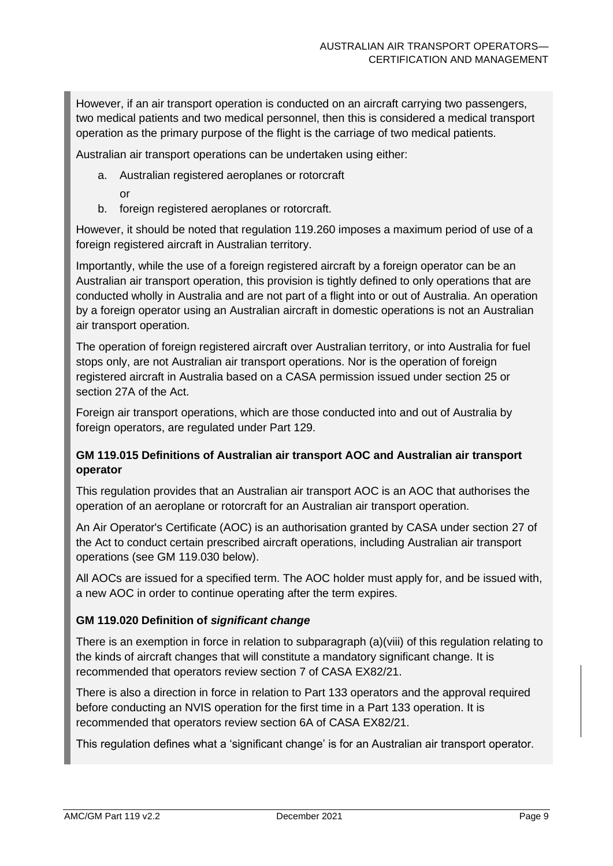However, if an air transport operation is conducted on an aircraft carrying two passengers, two medical patients and two medical personnel, then this is considered a medical transport operation as the primary purpose of the flight is the carriage of two medical patients.

Australian air transport operations can be undertaken using either:

- a. Australian registered aeroplanes or rotorcraft
	- or
- b. foreign registered aeroplanes or rotorcraft.

However, it should be noted that regulation 119.260 imposes a maximum period of use of a foreign registered aircraft in Australian territory.

Importantly, while the use of a foreign registered aircraft by a foreign operator can be an Australian air transport operation, this provision is tightly defined to only operations that are conducted wholly in Australia and are not part of a flight into or out of Australia. An operation by a foreign operator using an Australian aircraft in domestic operations is not an Australian air transport operation.

The operation of foreign registered aircraft over Australian territory, or into Australia for fuel stops only, are not Australian air transport operations. Nor is the operation of foreign registered aircraft in Australia based on a CASA permission issued under section 25 or section 27A of the Act.

Foreign air transport operations, which are those conducted into and out of Australia by foreign operators, are regulated under Part 129.

#### **GM 119.015 Definitions of Australian air transport AOC and Australian air transport operator**

This regulation provides that an Australian air transport AOC is an AOC that authorises the operation of an aeroplane or rotorcraft for an Australian air transport operation.

An Air Operator's Certificate (AOC) is an authorisation granted by CASA under section 27 of the Act to conduct certain prescribed aircraft operations, including Australian air transport operations (see GM 119.030 below).

All AOCs are issued for a specified term. The AOC holder must apply for, and be issued with, a new AOC in order to continue operating after the term expires.

#### **GM 119.020 Definition of** *significant change*

There is an exemption in force in relation to subparagraph (a)(viii) of this regulation relating to the kinds of aircraft changes that will constitute a mandatory significant change. It is recommended that operators review section 7 of CASA EX82/21.

There is also a direction in force in relation to Part 133 operators and the approval required before conducting an NVIS operation for the first time in a Part 133 operation. It is recommended that operators review section 6A of CASA EX82/21.

This regulation defines what a 'significant change' is for an Australian air transport operator.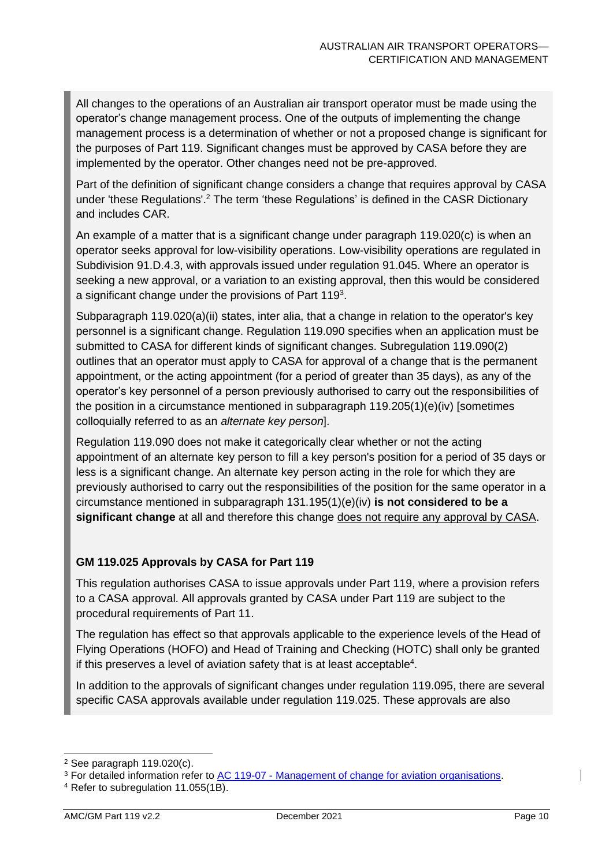All changes to the operations of an Australian air transport operator must be made using the operator's change management process. One of the outputs of implementing the change management process is a determination of whether or not a proposed change is significant for the purposes of Part 119. Significant changes must be approved by CASA before they are implemented by the operator. Other changes need not be pre-approved.

Part of the definition of significant change considers a change that requires approval by CASA under 'these Regulations'.<sup>2</sup> The term 'these Regulations' is defined in the CASR Dictionary and includes CAR.

An example of a matter that is a significant change under paragraph 119.020(c) is when an operator seeks approval for low-visibility operations. Low-visibility operations are regulated in Subdivision 91.D.4.3, with approvals issued under regulation 91.045. Where an operator is seeking a new approval, or a variation to an existing approval, then this would be considered a significant change under the provisions of Part 119<sup>3</sup>.

Subparagraph 119.020(a)(ii) states, inter alia, that a change in relation to the operator's key personnel is a significant change. Regulation 119.090 specifies when an application must be submitted to CASA for different kinds of significant changes. Subregulation 119.090(2) outlines that an operator must apply to CASA for approval of a change that is the permanent appointment, or the acting appointment (for a period of greater than 35 days), as any of the operator's key personnel of a person previously authorised to carry out the responsibilities of the position in a circumstance mentioned in subparagraph 119.205(1)(e)(iv) [sometimes colloquially referred to as an *alternate key person*].

Regulation 119.090 does not make it categorically clear whether or not the acting appointment of an alternate key person to fill a key person's position for a period of 35 days or less is a significant change. An alternate key person acting in the role for which they are previously authorised to carry out the responsibilities of the position for the same operator in a circumstance mentioned in subparagraph 131.195(1)(e)(iv) **is not considered to be a significant change** at all and therefore this change does not require any approval by CASA.

#### **GM 119.025 Approvals by CASA for Part 119**

This regulation authorises CASA to issue approvals under Part 119, where a provision refers to a CASA approval. All approvals granted by CASA under Part 119 are subject to the procedural requirements of Part 11.

The regulation has effect so that approvals applicable to the experience levels of the Head of Flying Operations (HOFO) and Head of Training and Checking (HOTC) shall only be granted if this preserves a level of aviation safety that is at least acceptable<sup>4</sup>.

In addition to the approvals of significant changes under regulation 119.095, there are several specific CASA approvals available under regulation 119.025. These approvals are also

<sup>2</sup> See paragraph 119.020(c).

<sup>3</sup> For detailed information refer to AC 119-07 - [Management of change for aviation organisations.](https://www.casa.gov.au/search-centre/advisory-circulars)

<sup>4</sup> Refer to subregulation 11.055(1B).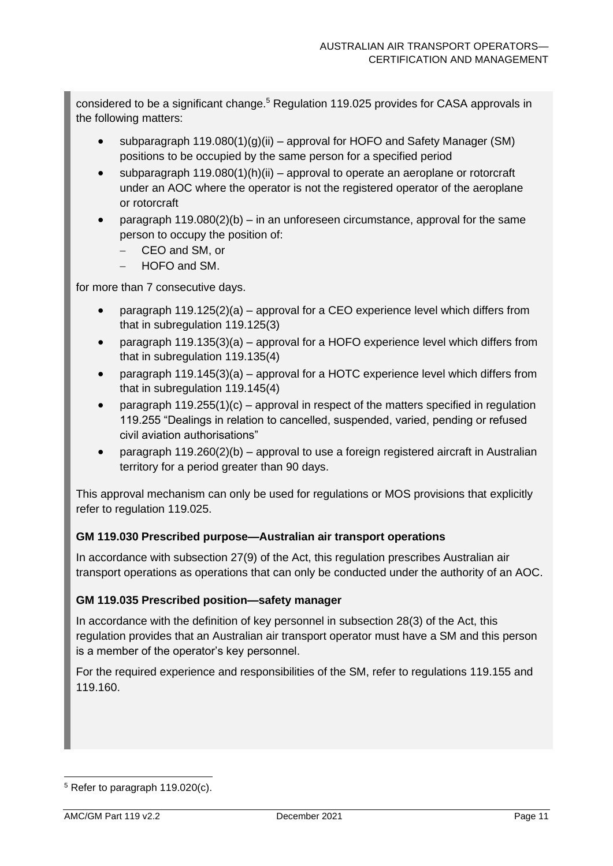considered to be a significant change.<sup>5</sup> Regulation 119.025 provides for CASA approvals in the following matters:

- subparagraph  $119.080(1)(q)(ii)$  approval for HOFO and Safety Manager (SM) positions to be occupied by the same person for a specified period
- subparagraph 119.080(1)(h)(ii) approval to operate an aeroplane or rotorcraft under an AOC where the operator is not the registered operator of the aeroplane or rotorcraft
- paragraph  $119.080(2)(b) in$  an unforeseen circumstance, approval for the same person to occupy the position of:
	- − CEO and SM, or
	- − HOFO and SM.

for more than 7 consecutive days.

- paragraph 119.125(2)(a) approval for a CEO experience level which differs from that in subregulation 119.125(3)
- paragraph 119.135(3)(a) approval for a HOFO experience level which differs from that in subregulation 119.135(4)
- paragraph 119.145(3)(a) approval for a HOTC experience level which differs from that in subregulation 119.145(4)
- paragraph  $119.255(1)(c)$  approval in respect of the matters specified in regulation 119.255 "Dealings in relation to cancelled, suspended, varied, pending or refused civil aviation authorisations"
- paragraph 119.260(2)(b) approval to use a foreign registered aircraft in Australian territory for a period greater than 90 days.

This approval mechanism can only be used for regulations or MOS provisions that explicitly refer to regulation 119.025.

#### **GM 119.030 Prescribed purpose—Australian air transport operations**

In accordance with subsection 27(9) of the Act, this regulation prescribes Australian air transport operations as operations that can only be conducted under the authority of an AOC.

#### **GM 119.035 Prescribed position—safety manager**

In accordance with the definition of key personnel in subsection 28(3) of the Act, this regulation provides that an Australian air transport operator must have a SM and this person is a member of the operator's key personnel.

For the required experience and responsibilities of the SM, refer to regulations 119.155 and 119.160.

<sup>5</sup> Refer to paragraph 119.020(c).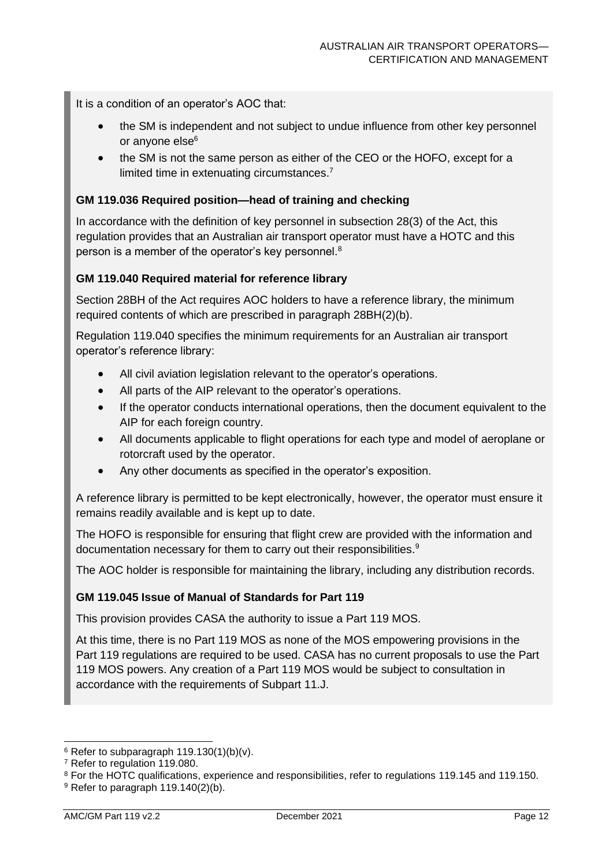It is a condition of an operator's AOC that:

- the SM is independent and not subject to undue influence from other key personnel or anyone else<sup>6</sup>
- the SM is not the same person as either of the CEO or the HOFO, except for a limited time in extenuating circumstances.<sup>7</sup>

#### **GM 119.036 Required position—head of training and checking**

In accordance with the definition of key personnel in subsection 28(3) of the Act, this regulation provides that an Australian air transport operator must have a HOTC and this person is a member of the operator's key personnel. $^8$ 

#### **GM 119.040 Required material for reference library**

Section 28BH of the Act requires AOC holders to have a reference library, the minimum required contents of which are prescribed in paragraph 28BH(2)(b).

Regulation 119.040 specifies the minimum requirements for an Australian air transport operator's reference library:

- All civil aviation legislation relevant to the operator's operations.
- All parts of the AIP relevant to the operator's operations.
- If the operator conducts international operations, then the document equivalent to the AIP for each foreign country.
- All documents applicable to flight operations for each type and model of aeroplane or rotorcraft used by the operator.
- Any other documents as specified in the operator's exposition.

A reference library is permitted to be kept electronically, however, the operator must ensure it remains readily available and is kept up to date.

The HOFO is responsible for ensuring that flight crew are provided with the information and documentation necessary for them to carry out their responsibilities.<sup>9</sup>

The AOC holder is responsible for maintaining the library, including any distribution records.

#### **GM 119.045 Issue of Manual of Standards for Part 119**

This provision provides CASA the authority to issue a Part 119 MOS.

At this time, there is no Part 119 MOS as none of the MOS empowering provisions in the Part 119 regulations are required to be used. CASA has no current proposals to use the Part 119 MOS powers. Any creation of a Part 119 MOS would be subject to consultation in accordance with the requirements of Subpart 11.J.

 $6$  Refer to subparagraph 119.130(1)(b)(v).

<sup>7</sup> Refer to regulation 119.080.

<sup>8</sup> For the HOTC qualifications, experience and responsibilities, refer to regulations 119.145 and 119.150.

 $9$  Refer to paragraph 119.140(2)(b).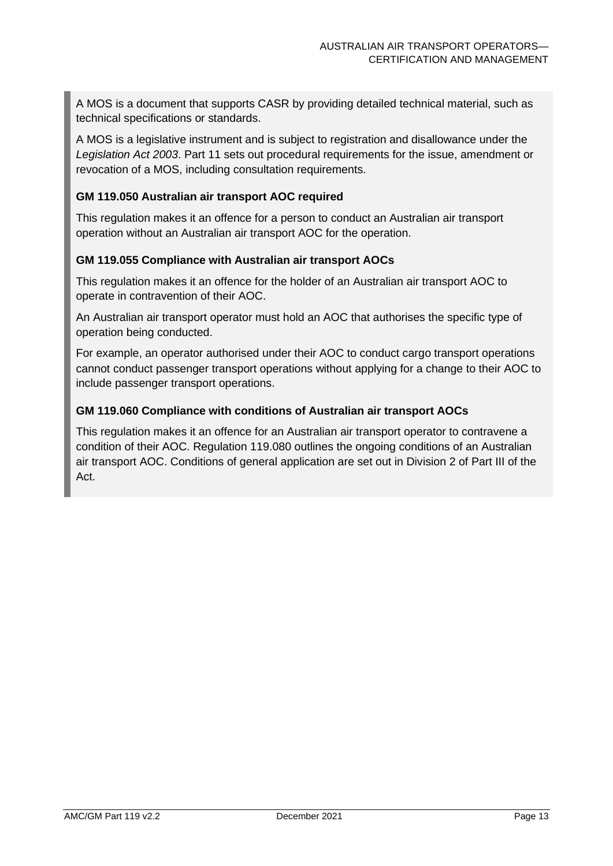A MOS is a document that supports CASR by providing detailed technical material, such as technical specifications or standards.

A MOS is a legislative instrument and is subject to registration and disallowance under the *Legislation Act 2003*. Part 11 sets out procedural requirements for the issue, amendment or revocation of a MOS, including consultation requirements.

#### **GM 119.050 Australian air transport AOC required**

This regulation makes it an offence for a person to conduct an Australian air transport operation without an Australian air transport AOC for the operation.

#### **GM 119.055 Compliance with Australian air transport AOCs**

This regulation makes it an offence for the holder of an Australian air transport AOC to operate in contravention of their AOC.

An Australian air transport operator must hold an AOC that authorises the specific type of operation being conducted.

For example, an operator authorised under their AOC to conduct cargo transport operations cannot conduct passenger transport operations without applying for a change to their AOC to include passenger transport operations.

#### **GM 119.060 Compliance with conditions of Australian air transport AOCs**

This regulation makes it an offence for an Australian air transport operator to contravene a condition of their AOC. Regulation 119.080 outlines the ongoing conditions of an Australian air transport AOC. Conditions of general application are set out in Division 2 of Part III of the Act.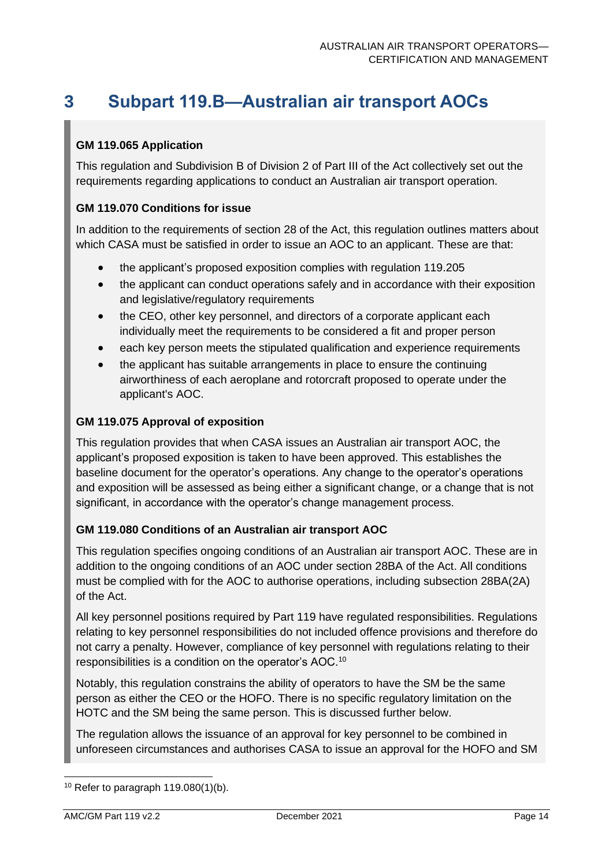## <span id="page-14-0"></span>**3 Subpart 119.B—Australian air transport AOCs**

#### **GM 119.065 Application**

This regulation and Subdivision B of Division 2 of Part III of the Act collectively set out the requirements regarding applications to conduct an Australian air transport operation.

#### **GM 119.070 Conditions for issue**

In addition to the requirements of section 28 of the Act, this regulation outlines matters about which CASA must be satisfied in order to issue an AOC to an applicant. These are that:

- the applicant's proposed exposition complies with regulation 119.205
- the applicant can conduct operations safely and in accordance with their exposition and legislative/regulatory requirements
- the CEO, other key personnel, and directors of a corporate applicant each individually meet the requirements to be considered a fit and proper person
- each key person meets the stipulated qualification and experience requirements
- the applicant has suitable arrangements in place to ensure the continuing airworthiness of each aeroplane and rotorcraft proposed to operate under the applicant's AOC.

#### **GM 119.075 Approval of exposition**

This regulation provides that when CASA issues an Australian air transport AOC, the applicant's proposed exposition is taken to have been approved. This establishes the baseline document for the operator's operations. Any change to the operator's operations and exposition will be assessed as being either a significant change, or a change that is not significant, in accordance with the operator's change management process.

#### **GM 119.080 Conditions of an Australian air transport AOC**

This regulation specifies ongoing conditions of an Australian air transport AOC. These are in addition to the ongoing conditions of an AOC under section 28BA of the Act. All conditions must be complied with for the AOC to authorise operations, including subsection 28BA(2A) of the Act.

All key personnel positions required by Part 119 have regulated responsibilities. Regulations relating to key personnel responsibilities do not included offence provisions and therefore do not carry a penalty. However, compliance of key personnel with regulations relating to their responsibilities is a condition on the operator's AOC.<sup>10</sup>

Notably, this regulation constrains the ability of operators to have the SM be the same person as either the CEO or the HOFO. There is no specific regulatory limitation on the HOTC and the SM being the same person. This is discussed further below.

The regulation allows the issuance of an approval for key personnel to be combined in unforeseen circumstances and authorises CASA to issue an approval for the HOFO and SM

 $10$  Refer to paragraph 119.080(1)(b).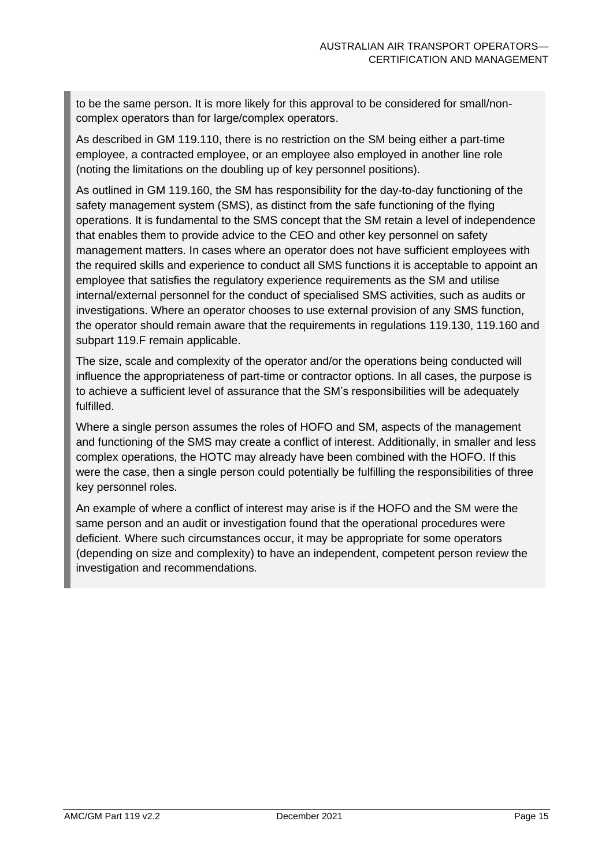to be the same person. It is more likely for this approval to be considered for small/noncomplex operators than for large/complex operators.

As described in GM 119.110, there is no restriction on the SM being either a part-time employee, a contracted employee, or an employee also employed in another line role (noting the limitations on the doubling up of key personnel positions).

As outlined in GM 119.160, the SM has responsibility for the day-to-day functioning of the safety management system (SMS), as distinct from the safe functioning of the flying operations. It is fundamental to the SMS concept that the SM retain a level of independence that enables them to provide advice to the CEO and other key personnel on safety management matters. In cases where an operator does not have sufficient employees with the required skills and experience to conduct all SMS functions it is acceptable to appoint an employee that satisfies the regulatory experience requirements as the SM and utilise internal/external personnel for the conduct of specialised SMS activities, such as audits or investigations. Where an operator chooses to use external provision of any SMS function, the operator should remain aware that the requirements in regulations 119.130, 119.160 and subpart 119.F remain applicable.

The size, scale and complexity of the operator and/or the operations being conducted will influence the appropriateness of part-time or contractor options. In all cases, the purpose is to achieve a sufficient level of assurance that the SM's responsibilities will be adequately fulfilled.

Where a single person assumes the roles of HOFO and SM, aspects of the management and functioning of the SMS may create a conflict of interest. Additionally, in smaller and less complex operations, the HOTC may already have been combined with the HOFO. If this were the case, then a single person could potentially be fulfilling the responsibilities of three key personnel roles.

An example of where a conflict of interest may arise is if the HOFO and the SM were the same person and an audit or investigation found that the operational procedures were deficient. Where such circumstances occur, it may be appropriate for some operators (depending on size and complexity) to have an independent, competent person review the investigation and recommendations.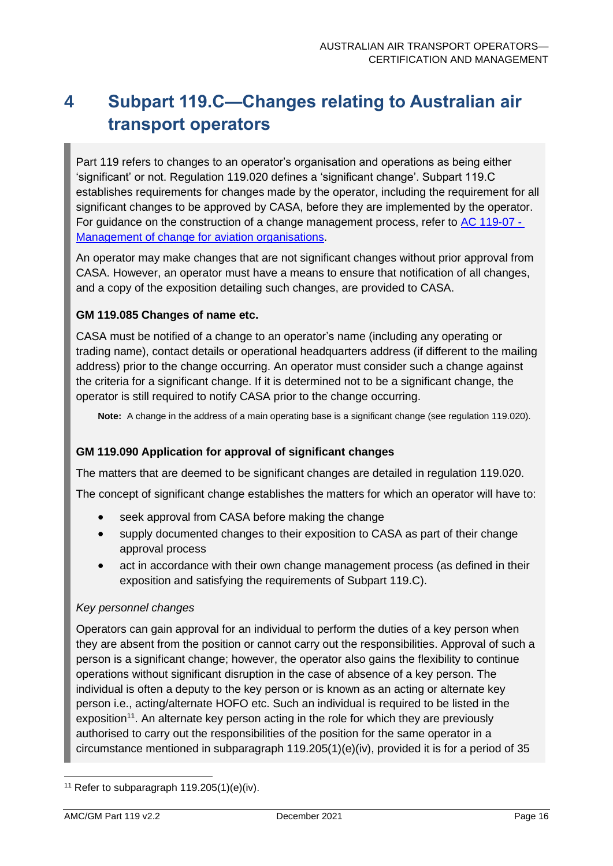# <span id="page-16-0"></span>**4 Subpart 119.C—Changes relating to Australian air transport operators**

Part 119 refers to changes to an operator's organisation and operations as being either 'significant' or not. Regulation 119.020 defines a 'significant change'. Subpart 119.C establishes requirements for changes made by the operator, including the requirement for all significant changes to be approved by CASA, before they are implemented by the operator. For guidance on the construction of a change management process, refer to [AC 119-07 -](https://www.casa.gov.au/search-centre/advisory-circulars) [Management of change for aviation organisations.](https://www.casa.gov.au/search-centre/advisory-circulars)

An operator may make changes that are not significant changes without prior approval from CASA. However, an operator must have a means to ensure that notification of all changes, and a copy of the exposition detailing such changes, are provided to CASA.

#### **GM 119.085 Changes of name etc.**

CASA must be notified of a change to an operator's name (including any operating or trading name), contact details or operational headquarters address (if different to the mailing address) prior to the change occurring. An operator must consider such a change against the criteria for a significant change. If it is determined not to be a significant change, the operator is still required to notify CASA prior to the change occurring.

**Note:** A change in the address of a main operating base is a significant change (see regulation 119.020).

#### **GM 119.090 Application for approval of significant changes**

The matters that are deemed to be significant changes are detailed in regulation 119.020.

The concept of significant change establishes the matters for which an operator will have to:

- seek approval from CASA before making the change
- supply documented changes to their exposition to CASA as part of their change approval process
- act in accordance with their own change management process (as defined in their exposition and satisfying the requirements of Subpart 119.C).

#### *Key personnel changes*

Operators can gain approval for an individual to perform the duties of a key person when they are absent from the position or cannot carry out the responsibilities. Approval of such a person is a significant change; however, the operator also gains the flexibility to continue operations without significant disruption in the case of absence of a key person. The individual is often a deputy to the key person or is known as an acting or alternate key person i.e., acting/alternate HOFO etc. Such an individual is required to be listed in the exposition<sup>11</sup>. An alternate key person acting in the role for which they are previously authorised to carry out the responsibilities of the position for the same operator in a circumstance mentioned in subparagraph 119.205(1)(e)(iv), provided it is for a period of 35

<sup>&</sup>lt;sup>11</sup> Refer to subparagraph  $119.205(1)(e)(iv)$ .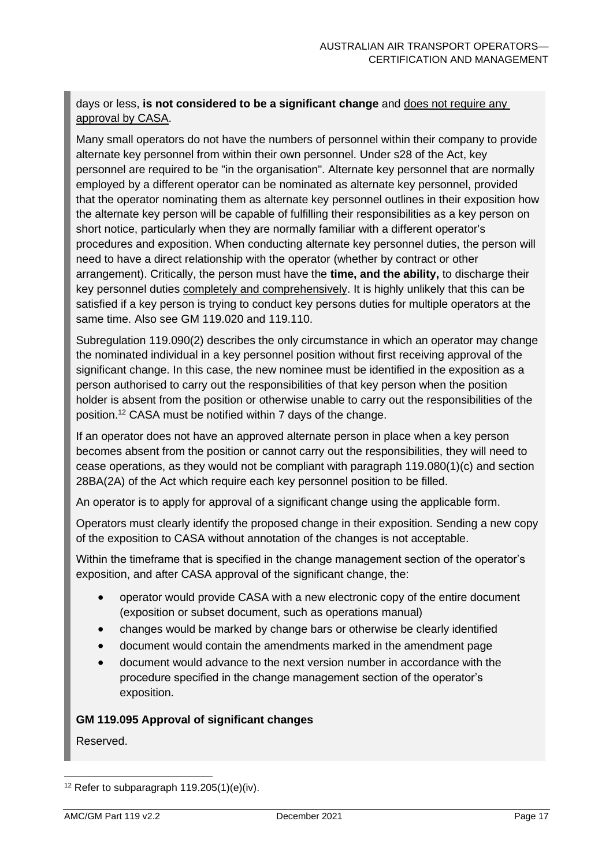#### days or less, **is not considered to be a significant change** and does not require any approval by CASA.

Many small operators do not have the numbers of personnel within their company to provide alternate key personnel from within their own personnel. Under s28 of the Act, key personnel are required to be "in the organisation". Alternate key personnel that are normally employed by a different operator can be nominated as alternate key personnel, provided that the operator nominating them as alternate key personnel outlines in their exposition how the alternate key person will be capable of fulfilling their responsibilities as a key person on short notice, particularly when they are normally familiar with a different operator's procedures and exposition. When conducting alternate key personnel duties, the person will need to have a direct relationship with the operator (whether by contract or other arrangement). Critically, the person must have the **time, and the ability,** to discharge their key personnel duties completely and comprehensively. It is highly unlikely that this can be satisfied if a key person is trying to conduct key persons duties for multiple operators at the same time. Also see GM 119.020 and 119.110.

Subreaulation 119.090(2) describes the only circumstance in which an operator may change the nominated individual in a key personnel position without first receiving approval of the significant change. In this case, the new nominee must be identified in the exposition as a person authorised to carry out the responsibilities of that key person when the position holder is absent from the position or otherwise unable to carry out the responsibilities of the position.<sup>12</sup> CASA must be notified within 7 days of the change.

If an operator does not have an approved alternate person in place when a key person becomes absent from the position or cannot carry out the responsibilities, they will need to cease operations, as they would not be compliant with paragraph 119.080(1)(c) and section 28BA(2A) of the Act which require each key personnel position to be filled.

An operator is to apply for approval of a significant change using the applicable form.

Operators must clearly identify the proposed change in their exposition. Sending a new copy of the exposition to CASA without annotation of the changes is not acceptable.

Within the timeframe that is specified in the change management section of the operator's exposition, and after CASA approval of the significant change, the:

- operator would provide CASA with a new electronic copy of the entire document (exposition or subset document, such as operations manual)
- changes would be marked by change bars or otherwise be clearly identified
- document would contain the amendments marked in the amendment page
- document would advance to the next version number in accordance with the procedure specified in the change management section of the operator's exposition.

#### **GM 119.095 Approval of significant changes**

Reserved.

<sup>&</sup>lt;sup>12</sup> Refer to subparagraph  $119.205(1)(e)(iv)$ .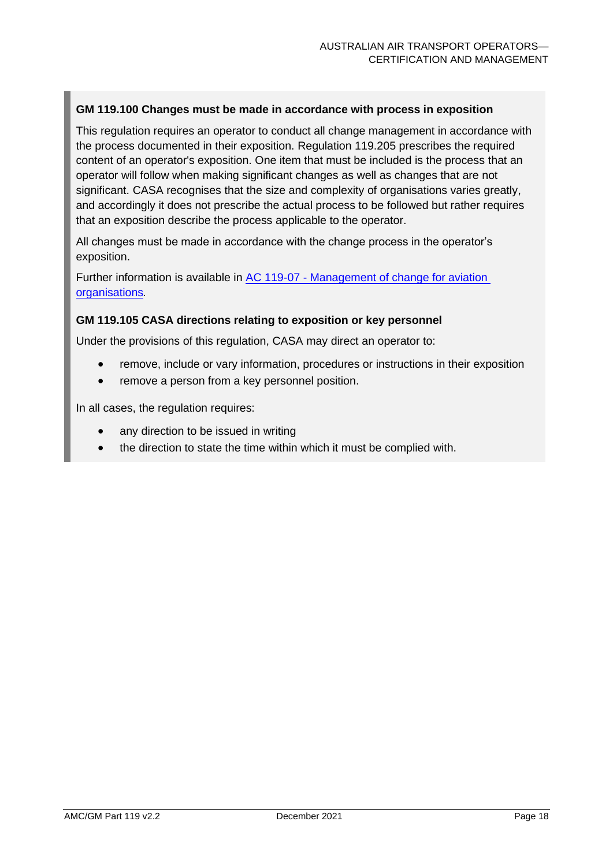#### **GM 119.100 Changes must be made in accordance with process in exposition**

This regulation requires an operator to conduct all change management in accordance with the process documented in their exposition. Regulation 119.205 prescribes the required content of an operator's exposition. One item that must be included is the process that an operator will follow when making significant changes as well as changes that are not significant. CASA recognises that the size and complexity of organisations varies greatly, and accordingly it does not prescribe the actual process to be followed but rather requires that an exposition describe the process applicable to the operator.

All changes must be made in accordance with the change process in the operator's exposition.

Further information is available in AC 119-07 - [Management of change for aviation](https://www.casa.gov.au/search-centre/advisory-circulars)  [organisations](https://www.casa.gov.au/search-centre/advisory-circulars)*.*

#### **GM 119.105 CASA directions relating to exposition or key personnel**

Under the provisions of this regulation, CASA may direct an operator to:

- remove, include or vary information, procedures or instructions in their exposition
- remove a person from a key personnel position.

In all cases, the regulation requires:

- any direction to be issued in writing
- the direction to state the time within which it must be complied with.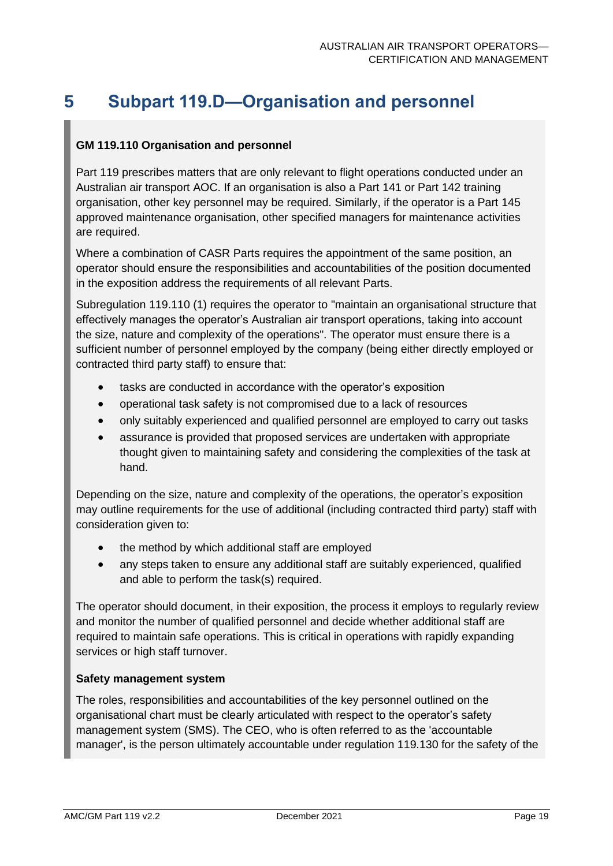# <span id="page-19-0"></span>**5 Subpart 119.D—Organisation and personnel**

#### **GM 119.110 Organisation and personnel**

Part 119 prescribes matters that are only relevant to flight operations conducted under an Australian air transport AOC. If an organisation is also a Part 141 or Part 142 training organisation, other key personnel may be required. Similarly, if the operator is a Part 145 approved maintenance organisation, other specified managers for maintenance activities are required.

Where a combination of CASR Parts requires the appointment of the same position, an operator should ensure the responsibilities and accountabilities of the position documented in the exposition address the requirements of all relevant Parts.

Subregulation 119.110 (1) requires the operator to "maintain an organisational structure that effectively manages the operator's Australian air transport operations, taking into account the size, nature and complexity of the operations". The operator must ensure there is a sufficient number of personnel employed by the company (being either directly employed or contracted third party staff) to ensure that:

- tasks are conducted in accordance with the operator's exposition
- operational task safety is not compromised due to a lack of resources
- only suitably experienced and qualified personnel are employed to carry out tasks
- assurance is provided that proposed services are undertaken with appropriate thought given to maintaining safety and considering the complexities of the task at hand.

Depending on the size, nature and complexity of the operations, the operator's exposition may outline requirements for the use of additional (including contracted third party) staff with consideration given to:

- the method by which additional staff are employed
- any steps taken to ensure any additional staff are suitably experienced, qualified and able to perform the task(s) required.

The operator should document, in their exposition, the process it employs to regularly review and monitor the number of qualified personnel and decide whether additional staff are required to maintain safe operations. This is critical in operations with rapidly expanding services or high staff turnover.

#### **Safety management system**

The roles, responsibilities and accountabilities of the key personnel outlined on the organisational chart must be clearly articulated with respect to the operator's safety management system (SMS). The CEO, who is often referred to as the 'accountable manager', is the person ultimately accountable under regulation 119.130 for the safety of the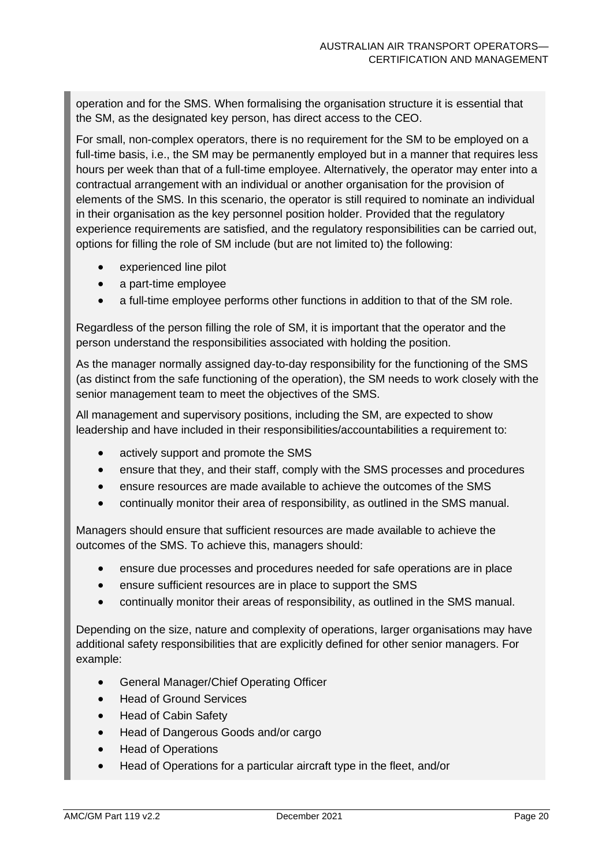operation and for the SMS. When formalising the organisation structure it is essential that the SM, as the designated key person, has direct access to the CEO.

For small, non-complex operators, there is no requirement for the SM to be employed on a full-time basis, i.e., the SM may be permanently employed but in a manner that requires less hours per week than that of a full-time employee. Alternatively, the operator may enter into a contractual arrangement with an individual or another organisation for the provision of elements of the SMS. In this scenario, the operator is still required to nominate an individual in their organisation as the key personnel position holder. Provided that the regulatory experience requirements are satisfied, and the regulatory responsibilities can be carried out, options for filling the role of SM include (but are not limited to) the following:

- experienced line pilot
- a part-time employee
- a full-time employee performs other functions in addition to that of the SM role.

Regardless of the person filling the role of SM, it is important that the operator and the person understand the responsibilities associated with holding the position.

As the manager normally assigned day-to-day responsibility for the functioning of the SMS (as distinct from the safe functioning of the operation), the SM needs to work closely with the senior management team to meet the objectives of the SMS.

All management and supervisory positions, including the SM, are expected to show leadership and have included in their responsibilities/accountabilities a requirement to:

- actively support and promote the SMS
- ensure that they, and their staff, comply with the SMS processes and procedures
- ensure resources are made available to achieve the outcomes of the SMS
- continually monitor their area of responsibility, as outlined in the SMS manual.

Managers should ensure that sufficient resources are made available to achieve the outcomes of the SMS. To achieve this, managers should:

- ensure due processes and procedures needed for safe operations are in place
- ensure sufficient resources are in place to support the SMS
- continually monitor their areas of responsibility, as outlined in the SMS manual.

Depending on the size, nature and complexity of operations, larger organisations may have additional safety responsibilities that are explicitly defined for other senior managers. For example:

- General Manager/Chief Operating Officer
- Head of Ground Services
- Head of Cabin Safety
- Head of Dangerous Goods and/or cargo
- Head of Operations
- Head of Operations for a particular aircraft type in the fleet, and/or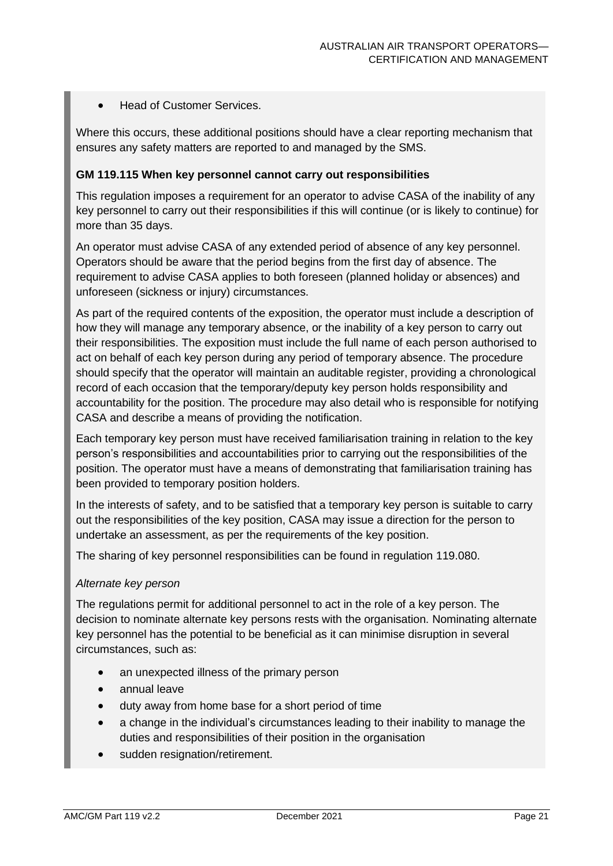• Head of Customer Services.

Where this occurs, these additional positions should have a clear reporting mechanism that ensures any safety matters are reported to and managed by the SMS.

#### **GM 119.115 When key personnel cannot carry out responsibilities**

This regulation imposes a requirement for an operator to advise CASA of the inability of any key personnel to carry out their responsibilities if this will continue (or is likely to continue) for more than 35 days.

An operator must advise CASA of any extended period of absence of any key personnel. Operators should be aware that the period begins from the first day of absence. The requirement to advise CASA applies to both foreseen (planned holiday or absences) and unforeseen (sickness or injury) circumstances.

As part of the required contents of the exposition, the operator must include a description of how they will manage any temporary absence, or the inability of a key person to carry out their responsibilities. The exposition must include the full name of each person authorised to act on behalf of each key person during any period of temporary absence. The procedure should specify that the operator will maintain an auditable register, providing a chronological record of each occasion that the temporary/deputy key person holds responsibility and accountability for the position. The procedure may also detail who is responsible for notifying CASA and describe a means of providing the notification.

Each temporary key person must have received familiarisation training in relation to the key person's responsibilities and accountabilities prior to carrying out the responsibilities of the position. The operator must have a means of demonstrating that familiarisation training has been provided to temporary position holders.

In the interests of safety, and to be satisfied that a temporary key person is suitable to carry out the responsibilities of the key position, CASA may issue a direction for the person to undertake an assessment, as per the requirements of the key position.

The sharing of key personnel responsibilities can be found in regulation 119.080.

#### *Alternate key person*

The regulations permit for additional personnel to act in the role of a key person. The decision to nominate alternate key persons rests with the organisation. Nominating alternate key personnel has the potential to be beneficial as it can minimise disruption in several circumstances, such as:

- an unexpected illness of the primary person
- annual leave
- duty away from home base for a short period of time
- a change in the individual's circumstances leading to their inability to manage the duties and responsibilities of their position in the organisation
- sudden resignation/retirement.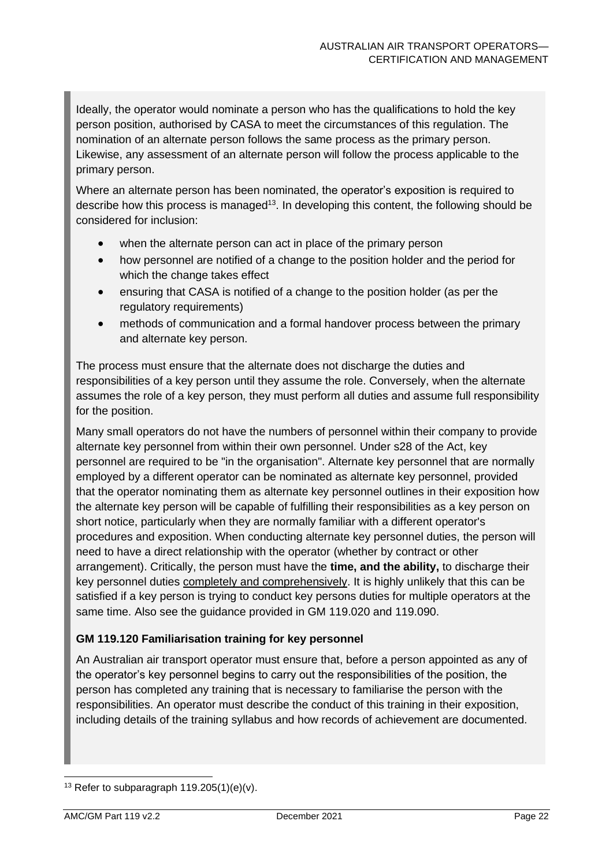Ideally, the operator would nominate a person who has the qualifications to hold the key person position, authorised by CASA to meet the circumstances of this regulation. The nomination of an alternate person follows the same process as the primary person. Likewise, any assessment of an alternate person will follow the process applicable to the primary person.

Where an alternate person has been nominated, the operator's exposition is required to describe how this process is managed<sup>13</sup>. In developing this content, the following should be considered for inclusion:

- when the alternate person can act in place of the primary person
- how personnel are notified of a change to the position holder and the period for which the change takes effect
- ensuring that CASA is notified of a change to the position holder (as per the regulatory requirements)
- methods of communication and a formal handover process between the primary and alternate key person.

The process must ensure that the alternate does not discharge the duties and responsibilities of a key person until they assume the role. Conversely, when the alternate assumes the role of a key person, they must perform all duties and assume full responsibility for the position.

Many small operators do not have the numbers of personnel within their company to provide alternate key personnel from within their own personnel. Under s28 of the Act, key personnel are required to be "in the organisation". Alternate key personnel that are normally employed by a different operator can be nominated as alternate key personnel, provided that the operator nominating them as alternate key personnel outlines in their exposition how the alternate key person will be capable of fulfilling their responsibilities as a key person on short notice, particularly when they are normally familiar with a different operator's procedures and exposition. When conducting alternate key personnel duties, the person will need to have a direct relationship with the operator (whether by contract or other arrangement). Critically, the person must have the **time, and the ability,** to discharge their key personnel duties completely and comprehensively. It is highly unlikely that this can be satisfied if a key person is trying to conduct key persons duties for multiple operators at the same time. Also see the guidance provided in GM 119.020 and 119.090.

#### **GM 119.120 Familiarisation training for key personnel**

An Australian air transport operator must ensure that, before a person appointed as any of the operator's key personnel begins to carry out the responsibilities of the position, the person has completed any training that is necessary to familiarise the person with the responsibilities. An operator must describe the conduct of this training in their exposition, including details of the training syllabus and how records of achievement are documented.

 $13$  Refer to subparagraph 119.205(1)(e)(v).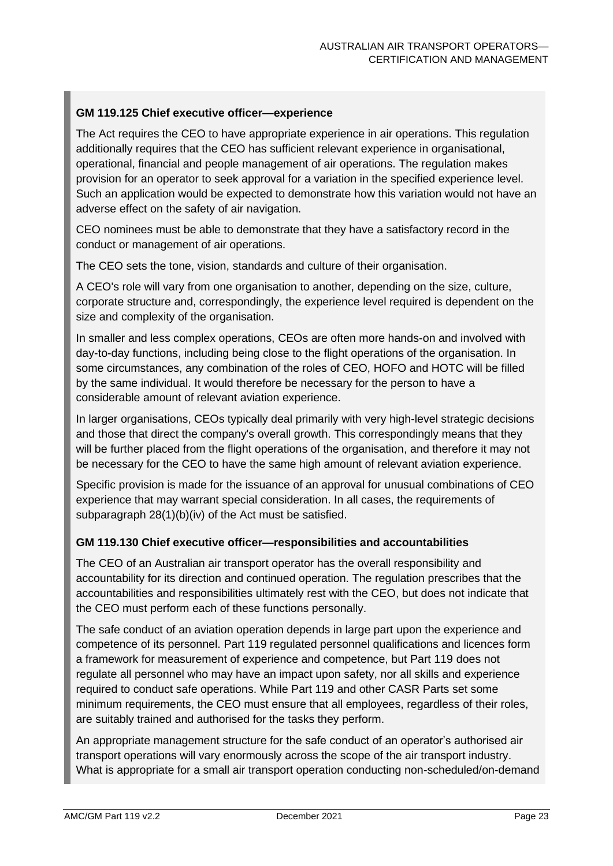#### **GM 119.125 Chief executive officer—experience**

The Act requires the CEO to have appropriate experience in air operations. This regulation additionally requires that the CEO has sufficient relevant experience in organisational, operational, financial and people management of air operations. The regulation makes provision for an operator to seek approval for a variation in the specified experience level. Such an application would be expected to demonstrate how this variation would not have an adverse effect on the safety of air navigation.

CEO nominees must be able to demonstrate that they have a satisfactory record in the conduct or management of air operations.

The CEO sets the tone, vision, standards and culture of their organisation.

A CEO's role will vary from one organisation to another, depending on the size, culture, corporate structure and, correspondingly, the experience level required is dependent on the size and complexity of the organisation.

In smaller and less complex operations, CEOs are often more hands-on and involved with day-to-day functions, including being close to the flight operations of the organisation. In some circumstances, any combination of the roles of CEO, HOFO and HOTC will be filled by the same individual. It would therefore be necessary for the person to have a considerable amount of relevant aviation experience.

In larger organisations, CEOs typically deal primarily with very high-level strategic decisions and those that direct the company's overall growth. This correspondingly means that they will be further placed from the flight operations of the organisation, and therefore it may not be necessary for the CEO to have the same high amount of relevant aviation experience.

Specific provision is made for the issuance of an approval for unusual combinations of CEO experience that may warrant special consideration. In all cases, the requirements of subparagraph 28(1)(b)(iv) of the Act must be satisfied.

#### **GM 119.130 Chief executive officer—responsibilities and accountabilities**

The CEO of an Australian air transport operator has the overall responsibility and accountability for its direction and continued operation. The regulation prescribes that the accountabilities and responsibilities ultimately rest with the CEO, but does not indicate that the CEO must perform each of these functions personally.

The safe conduct of an aviation operation depends in large part upon the experience and competence of its personnel. Part 119 regulated personnel qualifications and licences form a framework for measurement of experience and competence, but Part 119 does not regulate all personnel who may have an impact upon safety, nor all skills and experience required to conduct safe operations. While Part 119 and other CASR Parts set some minimum requirements, the CEO must ensure that all employees, regardless of their roles, are suitably trained and authorised for the tasks they perform.

An appropriate management structure for the safe conduct of an operator's authorised air transport operations will vary enormously across the scope of the air transport industry. What is appropriate for a small air transport operation conducting non-scheduled/on-demand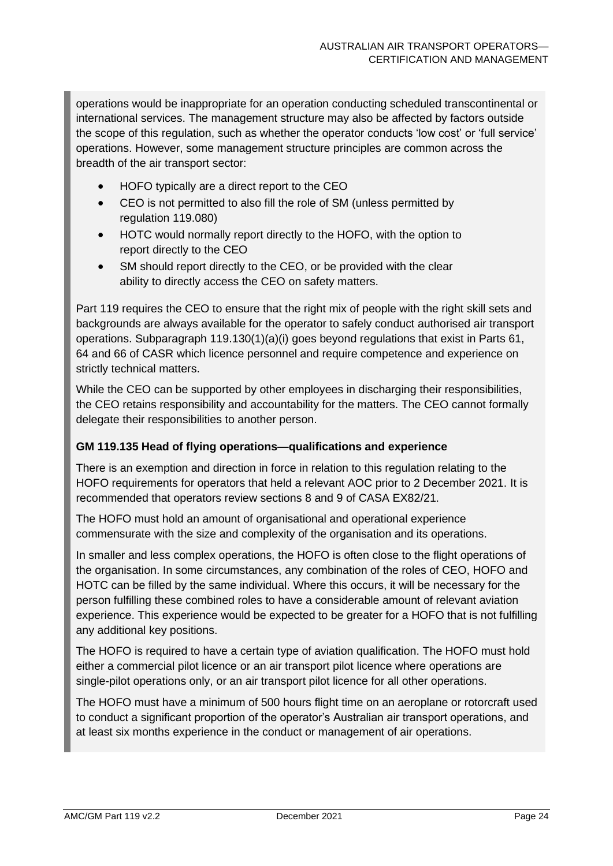operations would be inappropriate for an operation conducting scheduled transcontinental or international services. The management structure may also be affected by factors outside the scope of this regulation, such as whether the operator conducts 'low cost' or 'full service' operations. However, some management structure principles are common across the breadth of the air transport sector:

- HOFO typically are a direct report to the CEO
- CEO is not permitted to also fill the role of SM (unless permitted by regulation 119.080)
- HOTC would normally report directly to the HOFO, with the option to report directly to the CEO
- SM should report directly to the CEO, or be provided with the clear ability to directly access the CEO on safety matters.

Part 119 requires the CEO to ensure that the right mix of people with the right skill sets and backgrounds are always available for the operator to safely conduct authorised air transport operations. Subparagraph 119.130(1)(a)(i) goes beyond regulations that exist in Parts 61, 64 and 66 of CASR which licence personnel and require competence and experience on strictly technical matters.

While the CEO can be supported by other employees in discharging their responsibilities, the CEO retains responsibility and accountability for the matters. The CEO cannot formally delegate their responsibilities to another person.

#### **GM 119.135 Head of flying operations—qualifications and experience**

There is an exemption and direction in force in relation to this regulation relating to the HOFO requirements for operators that held a relevant AOC prior to 2 December 2021. It is recommended that operators review sections 8 and 9 of CASA EX82/21.

The HOFO must hold an amount of organisational and operational experience commensurate with the size and complexity of the organisation and its operations.

In smaller and less complex operations, the HOFO is often close to the flight operations of the organisation. In some circumstances, any combination of the roles of CEO, HOFO and HOTC can be filled by the same individual. Where this occurs, it will be necessary for the person fulfilling these combined roles to have a considerable amount of relevant aviation experience. This experience would be expected to be greater for a HOFO that is not fulfilling any additional key positions.

The HOFO is required to have a certain type of aviation qualification. The HOFO must hold either a commercial pilot licence or an air transport pilot licence where operations are single-pilot operations only, or an air transport pilot licence for all other operations.

The HOFO must have a minimum of 500 hours flight time on an aeroplane or rotorcraft used to conduct a significant proportion of the operator's Australian air transport operations, and at least six months experience in the conduct or management of air operations.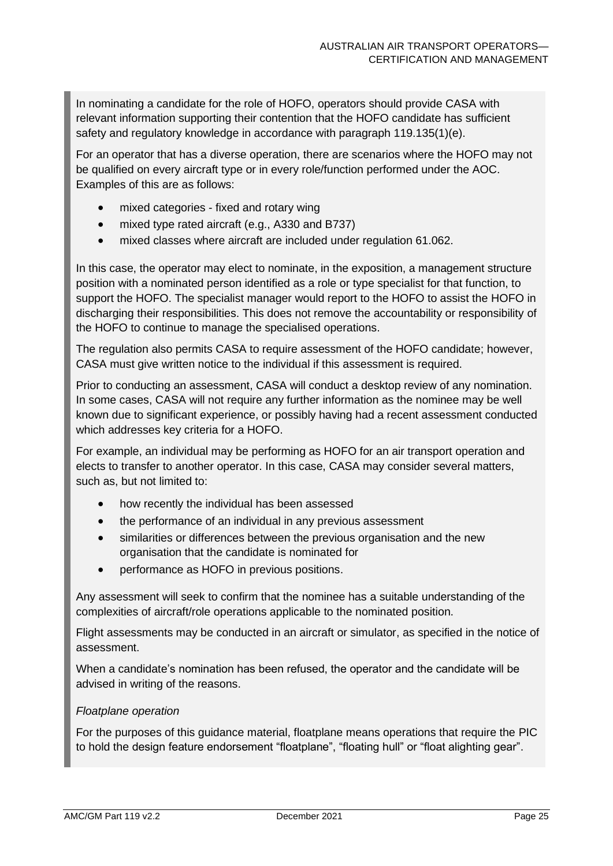In nominating a candidate for the role of HOFO, operators should provide CASA with relevant information supporting their contention that the HOFO candidate has sufficient safety and regulatory knowledge in accordance with paragraph 119.135(1)(e).

For an operator that has a diverse operation, there are scenarios where the HOFO may not be qualified on every aircraft type or in every role/function performed under the AOC. Examples of this are as follows:

- mixed categories fixed and rotary wing
- mixed type rated aircraft (e.g., A330 and B737)
- mixed classes where aircraft are included under regulation 61.062.

In this case, the operator may elect to nominate, in the exposition, a management structure position with a nominated person identified as a role or type specialist for that function, to support the HOFO. The specialist manager would report to the HOFO to assist the HOFO in discharging their responsibilities. This does not remove the accountability or responsibility of the HOFO to continue to manage the specialised operations.

The regulation also permits CASA to require assessment of the HOFO candidate; however, CASA must give written notice to the individual if this assessment is required.

Prior to conducting an assessment, CASA will conduct a desktop review of any nomination. In some cases, CASA will not require any further information as the nominee may be well known due to significant experience, or possibly having had a recent assessment conducted which addresses key criteria for a HOFO.

For example, an individual may be performing as HOFO for an air transport operation and elects to transfer to another operator. In this case, CASA may consider several matters, such as, but not limited to:

- how recently the individual has been assessed
- the performance of an individual in any previous assessment
- similarities or differences between the previous organisation and the new organisation that the candidate is nominated for
- performance as HOFO in previous positions.

Any assessment will seek to confirm that the nominee has a suitable understanding of the complexities of aircraft/role operations applicable to the nominated position.

Flight assessments may be conducted in an aircraft or simulator, as specified in the notice of assessment.

When a candidate's nomination has been refused, the operator and the candidate will be advised in writing of the reasons.

#### *Floatplane operation*

For the purposes of this guidance material, floatplane means operations that require the PIC to hold the design feature endorsement "floatplane", "floating hull" or "float alighting gear".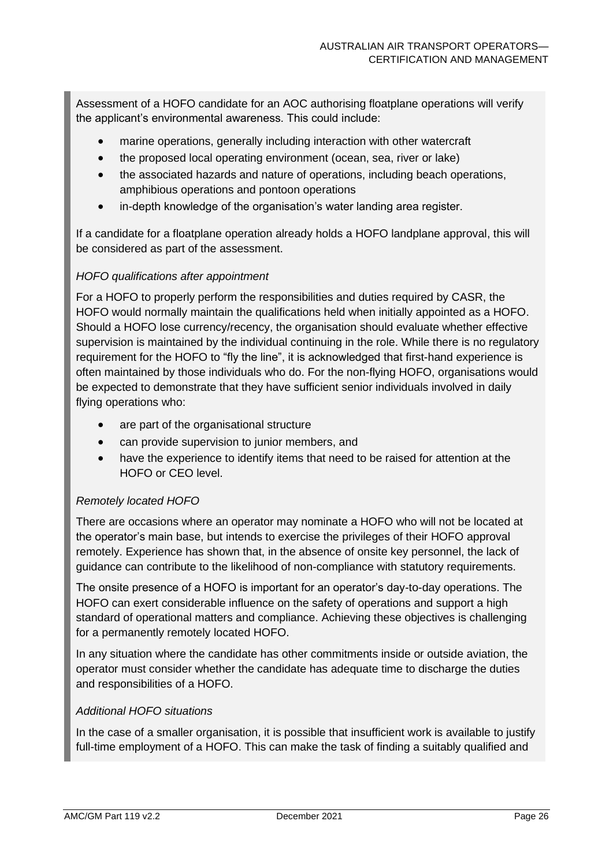Assessment of a HOFO candidate for an AOC authorising floatplane operations will verify the applicant's environmental awareness. This could include:

- marine operations, generally including interaction with other watercraft
- the proposed local operating environment (ocean, sea, river or lake)
- the associated hazards and nature of operations, including beach operations, amphibious operations and pontoon operations
- in-depth knowledge of the organisation's water landing area register.

If a candidate for a floatplane operation already holds a HOFO landplane approval, this will be considered as part of the assessment.

#### *HOFO qualifications after appointment*

For a HOFO to properly perform the responsibilities and duties required by CASR, the HOFO would normally maintain the qualifications held when initially appointed as a HOFO. Should a HOFO lose currency/recency, the organisation should evaluate whether effective supervision is maintained by the individual continuing in the role. While there is no regulatory requirement for the HOFO to "fly the line", it is acknowledged that first-hand experience is often maintained by those individuals who do. For the non-flying HOFO, organisations would be expected to demonstrate that they have sufficient senior individuals involved in daily flying operations who:

- are part of the organisational structure
- can provide supervision to junior members, and
- have the experience to identify items that need to be raised for attention at the HOFO or CEO level.

#### *Remotely located HOFO*

There are occasions where an operator may nominate a HOFO who will not be located at the operator's main base, but intends to exercise the privileges of their HOFO approval remotely. Experience has shown that, in the absence of onsite key personnel, the lack of guidance can contribute to the likelihood of non-compliance with statutory requirements.

The onsite presence of a HOFO is important for an operator's day-to-day operations. The HOFO can exert considerable influence on the safety of operations and support a high standard of operational matters and compliance. Achieving these objectives is challenging for a permanently remotely located HOFO.

In any situation where the candidate has other commitments inside or outside aviation, the operator must consider whether the candidate has adequate time to discharge the duties and responsibilities of a HOFO.

#### *Additional HOFO situations*

In the case of a smaller organisation, it is possible that insufficient work is available to justify full-time employment of a HOFO. This can make the task of finding a suitably qualified and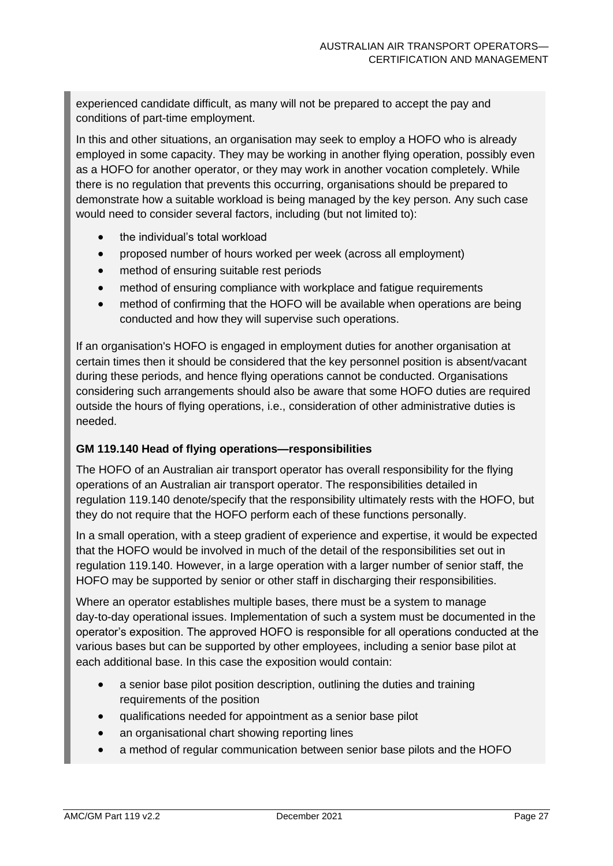experienced candidate difficult, as many will not be prepared to accept the pay and conditions of part-time employment.

In this and other situations, an organisation may seek to employ a HOFO who is already employed in some capacity. They may be working in another flying operation, possibly even as a HOFO for another operator, or they may work in another vocation completely. While there is no regulation that prevents this occurring, organisations should be prepared to demonstrate how a suitable workload is being managed by the key person. Any such case would need to consider several factors, including (but not limited to):

- the individual's total workload
- proposed number of hours worked per week (across all employment)
- method of ensuring suitable rest periods
- method of ensuring compliance with workplace and fatigue requirements
- method of confirming that the HOFO will be available when operations are being conducted and how they will supervise such operations.

If an organisation's HOFO is engaged in employment duties for another organisation at certain times then it should be considered that the key personnel position is absent/vacant during these periods, and hence flying operations cannot be conducted. Organisations considering such arrangements should also be aware that some HOFO duties are required outside the hours of flying operations, i.e., consideration of other administrative duties is needed.

#### **GM 119.140 Head of flying operations—responsibilities**

The HOFO of an Australian air transport operator has overall responsibility for the flying operations of an Australian air transport operator. The responsibilities detailed in regulation 119.140 denote/specify that the responsibility ultimately rests with the HOFO, but they do not require that the HOFO perform each of these functions personally.

In a small operation, with a steep gradient of experience and expertise, it would be expected that the HOFO would be involved in much of the detail of the responsibilities set out in regulation 119.140. However, in a large operation with a larger number of senior staff, the HOFO may be supported by senior or other staff in discharging their responsibilities.

Where an operator establishes multiple bases, there must be a system to manage day-to-day operational issues. Implementation of such a system must be documented in the operator's exposition. The approved HOFO is responsible for all operations conducted at the various bases but can be supported by other employees, including a senior base pilot at each additional base. In this case the exposition would contain:

- a senior base pilot position description, outlining the duties and training requirements of the position
- qualifications needed for appointment as a senior base pilot
- an organisational chart showing reporting lines
- a method of regular communication between senior base pilots and the HOFO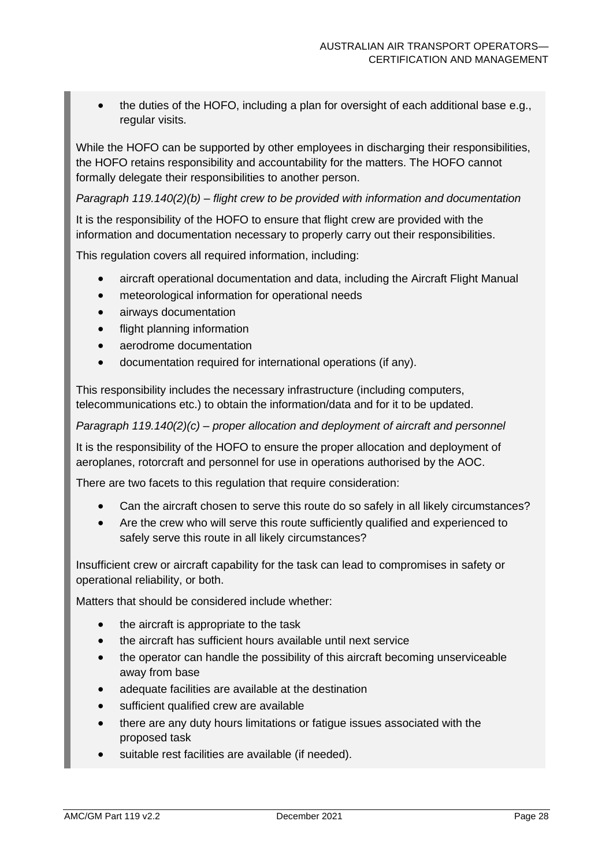• the duties of the HOFO, including a plan for oversight of each additional base e.g., regular visits.

While the HOFO can be supported by other employees in discharging their responsibilities, the HOFO retains responsibility and accountability for the matters. The HOFO cannot formally delegate their responsibilities to another person.

*Paragraph 119.140(2)(b) – flight crew to be provided with information and documentation*

It is the responsibility of the HOFO to ensure that flight crew are provided with the information and documentation necessary to properly carry out their responsibilities.

This regulation covers all required information, including:

- aircraft operational documentation and data, including the Aircraft Flight Manual
- meteorological information for operational needs
- airways documentation
- flight planning information
- aerodrome documentation
- documentation required for international operations (if any).

This responsibility includes the necessary infrastructure (including computers, telecommunications etc.) to obtain the information/data and for it to be updated.

*Paragraph 119.140(2)(c) – proper allocation and deployment of aircraft and personnel*

It is the responsibility of the HOFO to ensure the proper allocation and deployment of aeroplanes, rotorcraft and personnel for use in operations authorised by the AOC.

There are two facets to this regulation that require consideration:

- Can the aircraft chosen to serve this route do so safely in all likely circumstances?
- Are the crew who will serve this route sufficiently qualified and experienced to safely serve this route in all likely circumstances?

Insufficient crew or aircraft capability for the task can lead to compromises in safety or operational reliability, or both.

Matters that should be considered include whether:

- the aircraft is appropriate to the task
- the aircraft has sufficient hours available until next service
- the operator can handle the possibility of this aircraft becoming unserviceable away from base
- adequate facilities are available at the destination
- sufficient qualified crew are available
- there are any duty hours limitations or fatigue issues associated with the proposed task
- suitable rest facilities are available (if needed).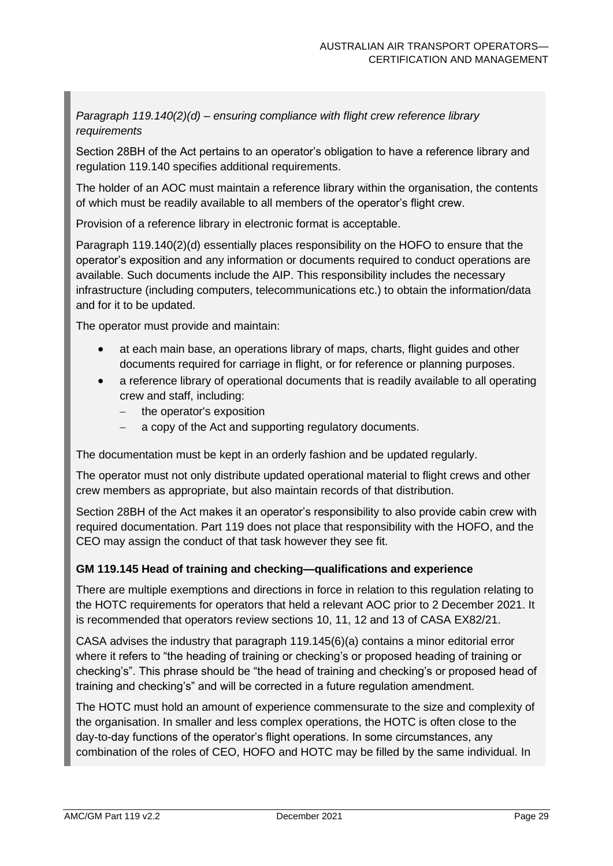*Paragraph 119.140(2)(d) – ensuring compliance with flight crew reference library requirements*

Section 28BH of the Act pertains to an operator's obligation to have a reference library and regulation 119.140 specifies additional requirements.

The holder of an AOC must maintain a reference library within the organisation, the contents of which must be readily available to all members of the operator's flight crew.

Provision of a reference library in electronic format is acceptable.

Paragraph 119.140(2)(d) essentially places responsibility on the HOFO to ensure that the operator's exposition and any information or documents required to conduct operations are available. Such documents include the AIP. This responsibility includes the necessary infrastructure (including computers, telecommunications etc.) to obtain the information/data and for it to be updated.

The operator must provide and maintain:

- at each main base, an operations library of maps, charts, flight guides and other documents required for carriage in flight, or for reference or planning purposes.
- a reference library of operational documents that is readily available to all operating crew and staff, including:
	- − the operator's exposition
	- a copy of the Act and supporting regulatory documents.

The documentation must be kept in an orderly fashion and be updated regularly.

The operator must not only distribute updated operational material to flight crews and other crew members as appropriate, but also maintain records of that distribution.

Section 28BH of the Act makes it an operator's responsibility to also provide cabin crew with required documentation. Part 119 does not place that responsibility with the HOFO, and the CEO may assign the conduct of that task however they see fit.

#### **GM 119.145 Head of training and checking—qualifications and experience**

There are multiple exemptions and directions in force in relation to this regulation relating to the HOTC requirements for operators that held a relevant AOC prior to 2 December 2021. It is recommended that operators review sections 10, 11, 12 and 13 of CASA EX82/21.

CASA advises the industry that paragraph 119.145(6)(a) contains a minor editorial error where it refers to "the heading of training or checking's or proposed heading of training or checking's". This phrase should be "the head of training and checking's or proposed head of training and checking's" and will be corrected in a future regulation amendment.

The HOTC must hold an amount of experience commensurate to the size and complexity of the organisation. In smaller and less complex operations, the HOTC is often close to the day-to-day functions of the operator's flight operations. In some circumstances, any combination of the roles of CEO, HOFO and HOTC may be filled by the same individual. In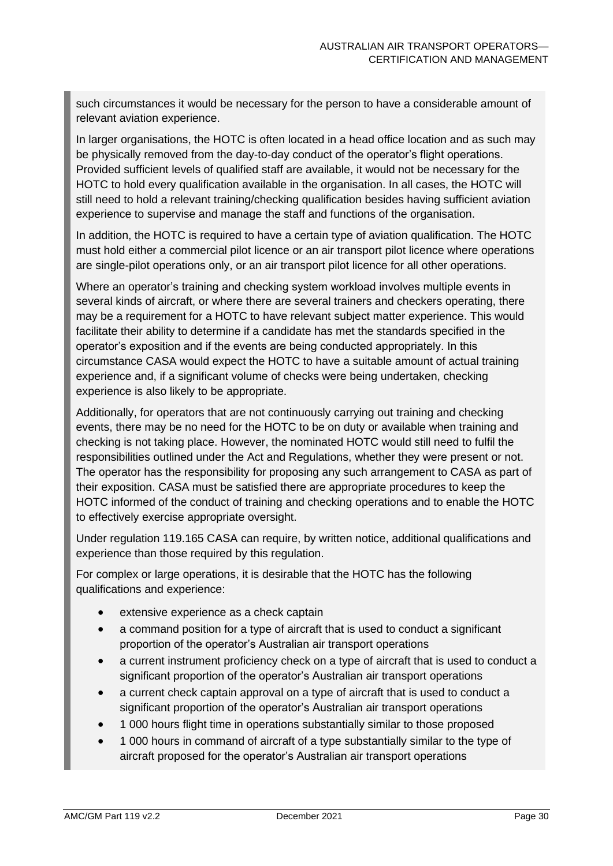such circumstances it would be necessary for the person to have a considerable amount of relevant aviation experience.

In larger organisations, the HOTC is often located in a head office location and as such may be physically removed from the day-to-day conduct of the operator's flight operations. Provided sufficient levels of qualified staff are available, it would not be necessary for the HOTC to hold every qualification available in the organisation. In all cases, the HOTC will still need to hold a relevant training/checking qualification besides having sufficient aviation experience to supervise and manage the staff and functions of the organisation.

In addition, the HOTC is required to have a certain type of aviation qualification. The HOTC must hold either a commercial pilot licence or an air transport pilot licence where operations are single-pilot operations only, or an air transport pilot licence for all other operations.

Where an operator's training and checking system workload involves multiple events in several kinds of aircraft, or where there are several trainers and checkers operating, there may be a requirement for a HOTC to have relevant subject matter experience. This would facilitate their ability to determine if a candidate has met the standards specified in the operator's exposition and if the events are being conducted appropriately. In this circumstance CASA would expect the HOTC to have a suitable amount of actual training experience and, if a significant volume of checks were being undertaken, checking experience is also likely to be appropriate.

Additionally, for operators that are not continuously carrying out training and checking events, there may be no need for the HOTC to be on duty or available when training and checking is not taking place. However, the nominated HOTC would still need to fulfil the responsibilities outlined under the Act and Regulations, whether they were present or not. The operator has the responsibility for proposing any such arrangement to CASA as part of their exposition. CASA must be satisfied there are appropriate procedures to keep the HOTC informed of the conduct of training and checking operations and to enable the HOTC to effectively exercise appropriate oversight.

Under regulation 119.165 CASA can require, by written notice, additional qualifications and experience than those required by this regulation.

For complex or large operations, it is desirable that the HOTC has the following qualifications and experience:

- extensive experience as a check captain
- a command position for a type of aircraft that is used to conduct a significant proportion of the operator's Australian air transport operations
- a current instrument proficiency check on a type of aircraft that is used to conduct a significant proportion of the operator's Australian air transport operations
- a current check captain approval on a type of aircraft that is used to conduct a significant proportion of the operator's Australian air transport operations
- 1 000 hours flight time in operations substantially similar to those proposed
- 1 000 hours in command of aircraft of a type substantially similar to the type of aircraft proposed for the operator's Australian air transport operations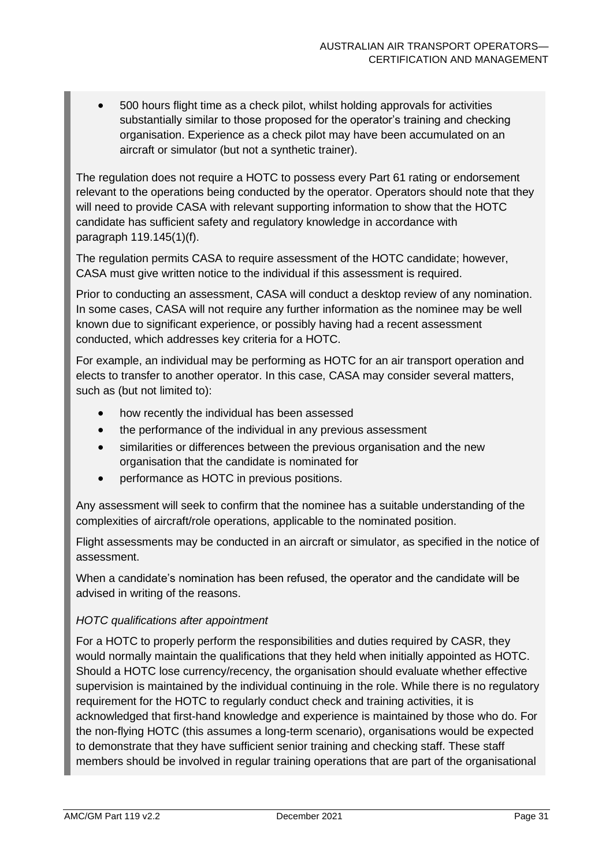• 500 hours flight time as a check pilot, whilst holding approvals for activities substantially similar to those proposed for the operator's training and checking organisation. Experience as a check pilot may have been accumulated on an aircraft or simulator (but not a synthetic trainer).

The regulation does not require a HOTC to possess every Part 61 rating or endorsement relevant to the operations being conducted by the operator. Operators should note that they will need to provide CASA with relevant supporting information to show that the HOTC candidate has sufficient safety and regulatory knowledge in accordance with paragraph 119.145(1)(f).

The regulation permits CASA to require assessment of the HOTC candidate; however, CASA must give written notice to the individual if this assessment is required.

Prior to conducting an assessment, CASA will conduct a desktop review of any nomination. In some cases, CASA will not require any further information as the nominee may be well known due to significant experience, or possibly having had a recent assessment conducted, which addresses key criteria for a HOTC.

For example, an individual may be performing as HOTC for an air transport operation and elects to transfer to another operator. In this case, CASA may consider several matters, such as (but not limited to):

- how recently the individual has been assessed
- the performance of the individual in any previous assessment
- similarities or differences between the previous organisation and the new organisation that the candidate is nominated for
- performance as HOTC in previous positions.

Any assessment will seek to confirm that the nominee has a suitable understanding of the complexities of aircraft/role operations, applicable to the nominated position.

Flight assessments may be conducted in an aircraft or simulator, as specified in the notice of assessment.

When a candidate's nomination has been refused, the operator and the candidate will be advised in writing of the reasons.

#### *HOTC qualifications after appointment*

For a HOTC to properly perform the responsibilities and duties required by CASR, they would normally maintain the qualifications that they held when initially appointed as HOTC. Should a HOTC lose currency/recency, the organisation should evaluate whether effective supervision is maintained by the individual continuing in the role. While there is no regulatory requirement for the HOTC to regularly conduct check and training activities, it is acknowledged that first-hand knowledge and experience is maintained by those who do. For the non-flying HOTC (this assumes a long-term scenario), organisations would be expected to demonstrate that they have sufficient senior training and checking staff. These staff members should be involved in regular training operations that are part of the organisational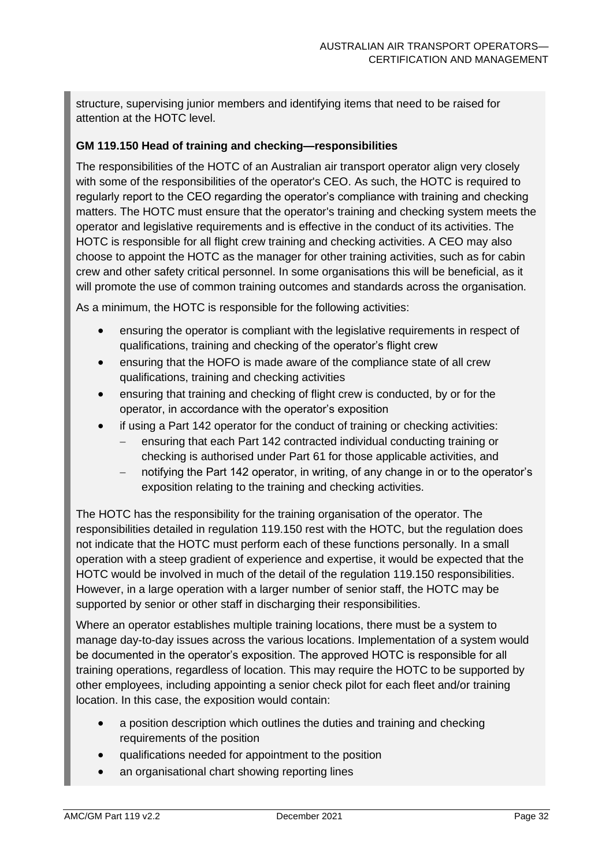structure, supervising junior members and identifying items that need to be raised for attention at the HOTC level.

#### **GM 119.150 Head of training and checking—responsibilities**

The responsibilities of the HOTC of an Australian air transport operator align very closely with some of the responsibilities of the operator's CEO. As such, the HOTC is required to regularly report to the CEO regarding the operator's compliance with training and checking matters. The HOTC must ensure that the operator's training and checking system meets the operator and legislative requirements and is effective in the conduct of its activities. The HOTC is responsible for all flight crew training and checking activities. A CEO may also choose to appoint the HOTC as the manager for other training activities, such as for cabin crew and other safety critical personnel. In some organisations this will be beneficial, as it will promote the use of common training outcomes and standards across the organisation.

As a minimum, the HOTC is responsible for the following activities:

- ensuring the operator is compliant with the legislative requirements in respect of qualifications, training and checking of the operator's flight crew
- ensuring that the HOFO is made aware of the compliance state of all crew qualifications, training and checking activities
- ensuring that training and checking of flight crew is conducted, by or for the operator, in accordance with the operator's exposition
- if using a Part 142 operator for the conduct of training or checking activities:
	- ensuring that each Part 142 contracted individual conducting training or checking is authorised under Part 61 for those applicable activities, and
	- notifying the Part 142 operator, in writing, of any change in or to the operator's exposition relating to the training and checking activities.

The HOTC has the responsibility for the training organisation of the operator. The responsibilities detailed in regulation 119.150 rest with the HOTC, but the regulation does not indicate that the HOTC must perform each of these functions personally. In a small operation with a steep gradient of experience and expertise, it would be expected that the HOTC would be involved in much of the detail of the regulation 119.150 responsibilities. However, in a large operation with a larger number of senior staff, the HOTC may be supported by senior or other staff in discharging their responsibilities.

Where an operator establishes multiple training locations, there must be a system to manage day-to-day issues across the various locations. Implementation of a system would be documented in the operator's exposition. The approved HOTC is responsible for all training operations, regardless of location. This may require the HOTC to be supported by other employees, including appointing a senior check pilot for each fleet and/or training location. In this case, the exposition would contain:

- a position description which outlines the duties and training and checking requirements of the position
- qualifications needed for appointment to the position
- an organisational chart showing reporting lines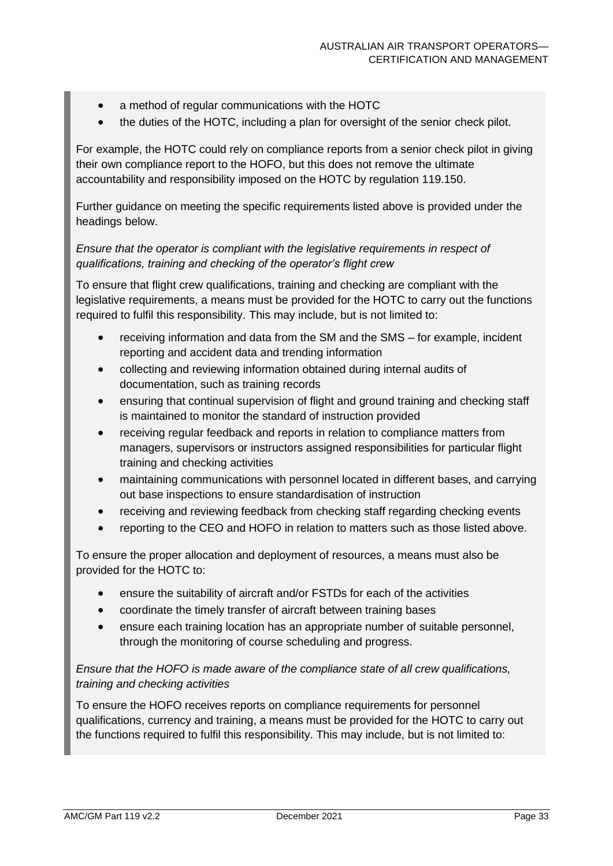- a method of regular communications with the HOTC
- the duties of the HOTC, including a plan for oversight of the senior check pilot.

For example, the HOTC could rely on compliance reports from a senior check pilot in giving their own compliance report to the HOFO, but this does not remove the ultimate accountability and responsibility imposed on the HOTC by regulation 119.150.

Further guidance on meeting the specific requirements listed above is provided under the headings below.

#### *Ensure that the operator is compliant with the legislative requirements in respect of qualifications, training and checking of the operator's flight crew*

To ensure that flight crew qualifications, training and checking are compliant with the legislative requirements, a means must be provided for the HOTC to carry out the functions required to fulfil this responsibility. This may include, but is not limited to:

- receiving information and data from the SM and the SMS for example, incident reporting and accident data and trending information
- collecting and reviewing information obtained during internal audits of documentation, such as training records
- ensuring that continual supervision of flight and ground training and checking staff is maintained to monitor the standard of instruction provided
- receiving regular feedback and reports in relation to compliance matters from managers, supervisors or instructors assigned responsibilities for particular flight training and checking activities
- maintaining communications with personnel located in different bases, and carrying out base inspections to ensure standardisation of instruction
- receiving and reviewing feedback from checking staff regarding checking events
- reporting to the CEO and HOFO in relation to matters such as those listed above.

To ensure the proper allocation and deployment of resources, a means must also be provided for the HOTC to:

- ensure the suitability of aircraft and/or FSTDs for each of the activities
- coordinate the timely transfer of aircraft between training bases
- ensure each training location has an appropriate number of suitable personnel, through the monitoring of course scheduling and progress.

#### *Ensure that the HOFO is made aware of the compliance state of all crew qualifications, training and checking activities*

To ensure the HOFO receives reports on compliance requirements for personnel qualifications, currency and training, a means must be provided for the HOTC to carry out the functions required to fulfil this responsibility. This may include, but is not limited to: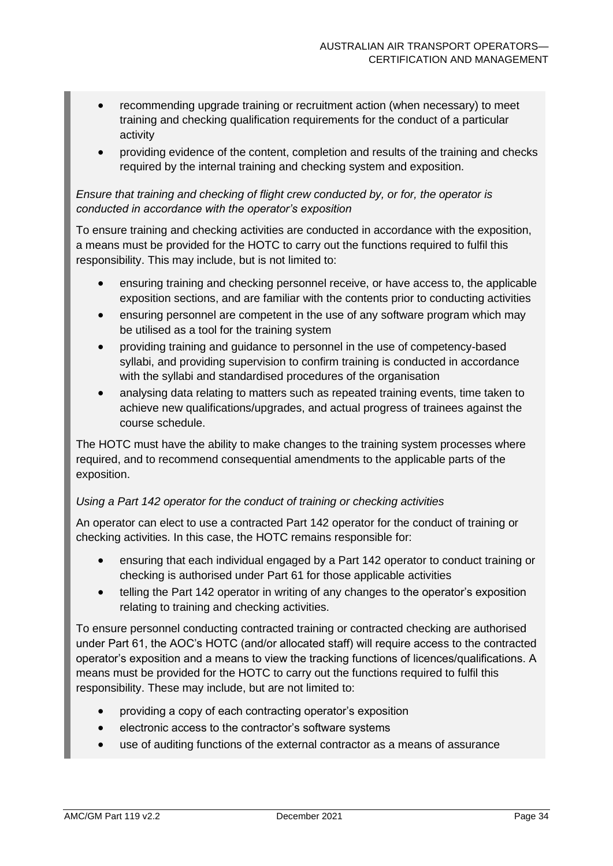- recommending upgrade training or recruitment action (when necessary) to meet training and checking qualification requirements for the conduct of a particular activity
- providing evidence of the content, completion and results of the training and checks required by the internal training and checking system and exposition.

#### *Ensure that training and checking of flight crew conducted by, or for, the operator is conducted in accordance with the operator's exposition*

To ensure training and checking activities are conducted in accordance with the exposition, a means must be provided for the HOTC to carry out the functions required to fulfil this responsibility. This may include, but is not limited to:

- ensuring training and checking personnel receive, or have access to, the applicable exposition sections, and are familiar with the contents prior to conducting activities
- ensuring personnel are competent in the use of any software program which may be utilised as a tool for the training system
- providing training and guidance to personnel in the use of competency-based syllabi, and providing supervision to confirm training is conducted in accordance with the syllabi and standardised procedures of the organisation
- analysing data relating to matters such as repeated training events, time taken to achieve new qualifications/upgrades, and actual progress of trainees against the course schedule.

The HOTC must have the ability to make changes to the training system processes where required, and to recommend consequential amendments to the applicable parts of the exposition.

#### *Using a Part 142 operator for the conduct of training or checking activities*

An operator can elect to use a contracted Part 142 operator for the conduct of training or checking activities. In this case, the HOTC remains responsible for:

- ensuring that each individual engaged by a Part 142 operator to conduct training or checking is authorised under Part 61 for those applicable activities
- telling the Part 142 operator in writing of any changes to the operator's exposition relating to training and checking activities.

To ensure personnel conducting contracted training or contracted checking are authorised under Part 61, the AOC's HOTC (and/or allocated staff) will require access to the contracted operator's exposition and a means to view the tracking functions of licences/qualifications. A means must be provided for the HOTC to carry out the functions required to fulfil this responsibility. These may include, but are not limited to:

- providing a copy of each contracting operator's exposition
- electronic access to the contractor's software systems
- use of auditing functions of the external contractor as a means of assurance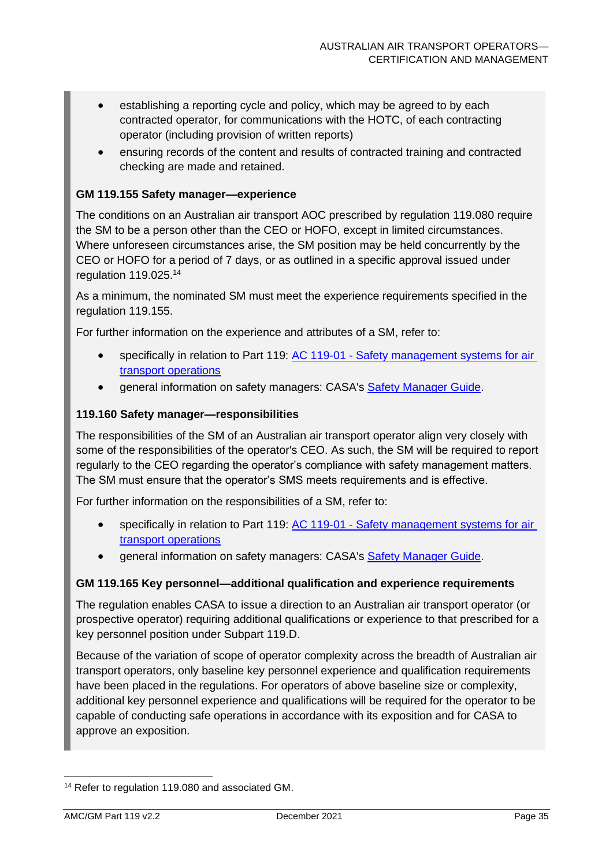- establishing a reporting cycle and policy, which may be agreed to by each contracted operator, for communications with the HOTC, of each contracting operator (including provision of written reports)
- ensuring records of the content and results of contracted training and contracted checking are made and retained.

#### **GM 119.155 Safety manager—experience**

The conditions on an Australian air transport AOC prescribed by regulation 119.080 require the SM to be a person other than the CEO or HOFO, except in limited circumstances. Where unforeseen circumstances arise, the SM position may be held concurrently by the CEO or HOFO for a period of 7 days, or as outlined in a specific approval issued under regulation 119.025. 14

As a minimum, the nominated SM must meet the experience requirements specified in the regulation 119.155.

For further information on the experience and attributes of a SM, refer to:

- specifically in relation to Part 119: AC 119-01 Safety management systems for air [transport operations](https://www.casa.gov.au/search-centre/advisory-circulars)
- general information on safety managers: CASA's **Safety Manager Guide**.

#### **119.160 Safety manager—responsibilities**

The responsibilities of the SM of an Australian air transport operator align very closely with some of the responsibilities of the operator's CEO. As such, the SM will be required to report regularly to the CEO regarding the operator's compliance with safety management matters. The SM must ensure that the operator's SMS meets requirements and is effective.

For further information on the responsibilities of a SM, refer to:

- specifically in relation to Part 119: AC 119-01 Safety management systems for air [transport operations](https://www.casa.gov.au/search-centre/advisory-circulars)
- general information on safety managers: CASA's [Safety Manager Guide.](https://www.casa.gov.au/content-search/safety-kits/safety-manager-guide)

#### **GM 119.165 Key personnel—additional qualification and experience requirements**

The regulation enables CASA to issue a direction to an Australian air transport operator (or prospective operator) requiring additional qualifications or experience to that prescribed for a key personnel position under Subpart 119.D.

Because of the variation of scope of operator complexity across the breadth of Australian air transport operators, only baseline key personnel experience and qualification requirements have been placed in the regulations. For operators of above baseline size or complexity, additional key personnel experience and qualifications will be required for the operator to be capable of conducting safe operations in accordance with its exposition and for CASA to approve an exposition.

<sup>&</sup>lt;sup>14</sup> Refer to regulation 119.080 and associated GM.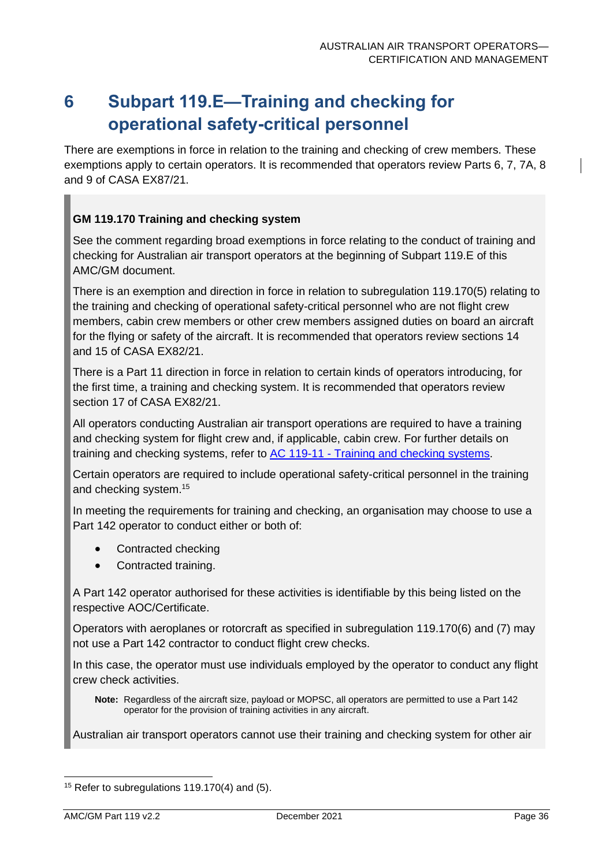# <span id="page-36-0"></span>**6 Subpart 119.E—Training and checking for operational safety-critical personnel**

There are exemptions in force in relation to the training and checking of crew members. These exemptions apply to certain operators. It is recommended that operators review Parts 6, 7, 7A, 8 and 9 of CASA EX87/21.

#### **GM 119.170 Training and checking system**

See the comment regarding broad exemptions in force relating to the conduct of training and checking for Australian air transport operators at the beginning of Subpart 119.E of this AMC/GM document.

There is an exemption and direction in force in relation to subregulation 119.170(5) relating to the training and checking of operational safety-critical personnel who are not flight crew members, cabin crew members or other crew members assigned duties on board an aircraft for the flying or safety of the aircraft. It is recommended that operators review sections 14 and 15 of CASA EX82/21.

There is a Part 11 direction in force in relation to certain kinds of operators introducing, for the first time, a training and checking system. It is recommended that operators review section 17 of CASA EX82/21.

All operators conducting Australian air transport operations are required to have a training and checking system for flight crew and, if applicable, cabin crew. For further details on training and checking systems, refer to AC 119-11 - [Training and checking systems.](https://www.casa.gov.au/search-centre/advisory-circulars)

Certain operators are required to include operational safety-critical personnel in the training and checking system. 15

In meeting the requirements for training and checking, an organisation may choose to use a Part 142 operator to conduct either or both of:

- Contracted checking
- Contracted training.

A Part 142 operator authorised for these activities is identifiable by this being listed on the respective AOC/Certificate.

Operators with aeroplanes or rotorcraft as specified in subregulation 119.170(6) and (7) may not use a Part 142 contractor to conduct flight crew checks.

In this case, the operator must use individuals employed by the operator to conduct any flight crew check activities.

**Note:** Regardless of the aircraft size, payload or MOPSC, all operators are permitted to use a Part 142 operator for the provision of training activities in any aircraft.

Australian air transport operators cannot use their training and checking system for other air

<sup>&</sup>lt;sup>15</sup> Refer to subregulations 119.170(4) and (5).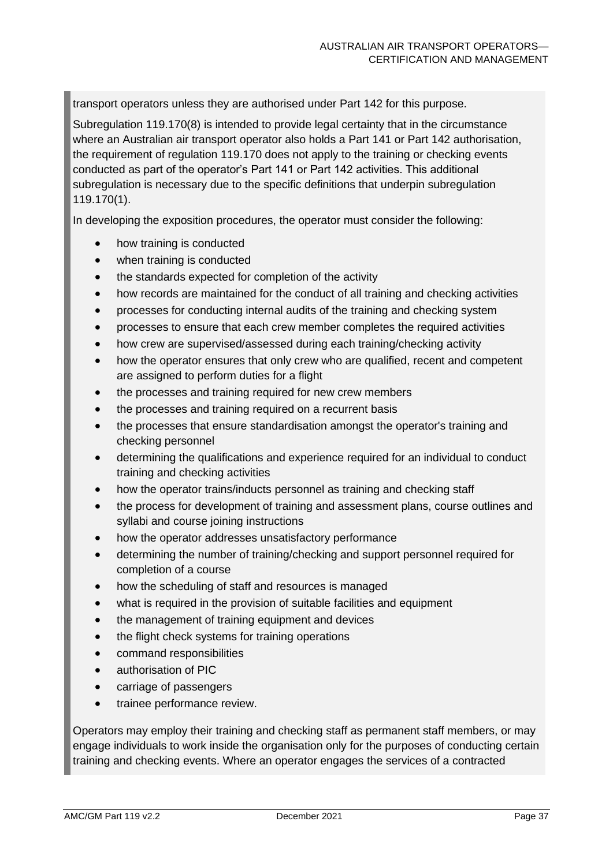transport operators unless they are authorised under Part 142 for this purpose.

Subregulation 119.170(8) is intended to provide legal certainty that in the circumstance where an Australian air transport operator also holds a Part 141 or Part 142 authorisation, the requirement of regulation 119.170 does not apply to the training or checking events conducted as part of the operator's Part 141 or Part 142 activities. This additional subregulation is necessary due to the specific definitions that underpin subregulation 119.170(1).

In developing the exposition procedures, the operator must consider the following:

- how training is conducted
- when training is conducted
- the standards expected for completion of the activity
- how records are maintained for the conduct of all training and checking activities
- processes for conducting internal audits of the training and checking system
- processes to ensure that each crew member completes the required activities
- how crew are supervised/assessed during each training/checking activity
- how the operator ensures that only crew who are qualified, recent and competent are assigned to perform duties for a flight
- the processes and training required for new crew members
- the processes and training required on a recurrent basis
- the processes that ensure standardisation amongst the operator's training and checking personnel
- determining the qualifications and experience required for an individual to conduct training and checking activities
- how the operator trains/inducts personnel as training and checking staff
- the process for development of training and assessment plans, course outlines and syllabi and course joining instructions
- how the operator addresses unsatisfactory performance
- determining the number of training/checking and support personnel required for completion of a course
- how the scheduling of staff and resources is managed
- what is required in the provision of suitable facilities and equipment
- the management of training equipment and devices
- the flight check systems for training operations
- command responsibilities
- authorisation of PIC
- carriage of passengers
- trainee performance review.

Operators may employ their training and checking staff as permanent staff members, or may engage individuals to work inside the organisation only for the purposes of conducting certain training and checking events. Where an operator engages the services of a contracted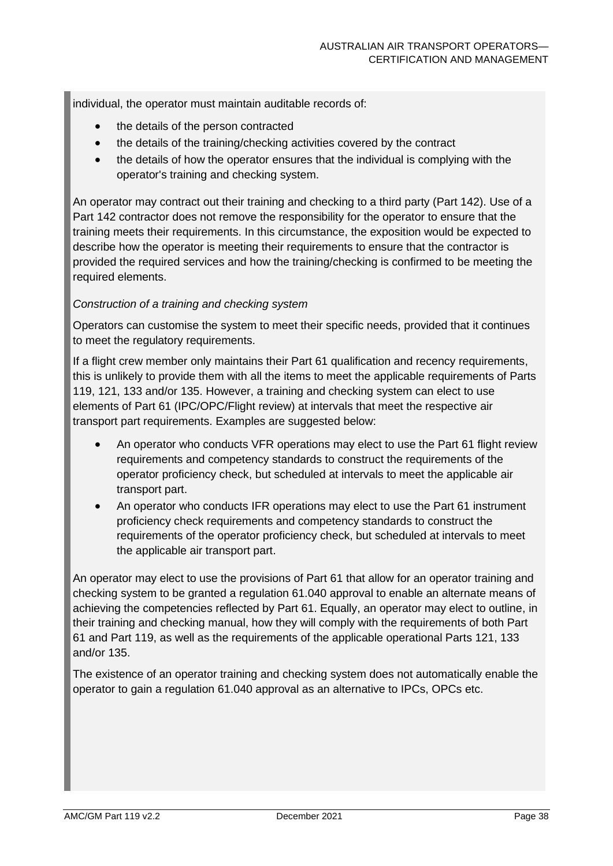individual, the operator must maintain auditable records of:

- the details of the person contracted
- the details of the training/checking activities covered by the contract
- the details of how the operator ensures that the individual is complying with the operator's training and checking system.

An operator may contract out their training and checking to a third party (Part 142). Use of a Part 142 contractor does not remove the responsibility for the operator to ensure that the training meets their requirements. In this circumstance, the exposition would be expected to describe how the operator is meeting their requirements to ensure that the contractor is provided the required services and how the training/checking is confirmed to be meeting the required elements.

#### *Construction of a training and checking system*

Operators can customise the system to meet their specific needs, provided that it continues to meet the regulatory requirements.

If a flight crew member only maintains their Part 61 qualification and recency requirements, this is unlikely to provide them with all the items to meet the applicable requirements of Parts 119, 121, 133 and/or 135. However, a training and checking system can elect to use elements of Part 61 (IPC/OPC/Flight review) at intervals that meet the respective air transport part requirements. Examples are suggested below:

- An operator who conducts VFR operations may elect to use the Part 61 flight review requirements and competency standards to construct the requirements of the operator proficiency check, but scheduled at intervals to meet the applicable air transport part.
- An operator who conducts IFR operations may elect to use the Part 61 instrument proficiency check requirements and competency standards to construct the requirements of the operator proficiency check, but scheduled at intervals to meet the applicable air transport part.

An operator may elect to use the provisions of Part 61 that allow for an operator training and checking system to be granted a regulation 61.040 approval to enable an alternate means of achieving the competencies reflected by Part 61. Equally, an operator may elect to outline, in their training and checking manual, how they will comply with the requirements of both Part 61 and Part 119, as well as the requirements of the applicable operational Parts 121, 133 and/or 135.

The existence of an operator training and checking system does not automatically enable the operator to gain a regulation 61.040 approval as an alternative to IPCs, OPCs etc.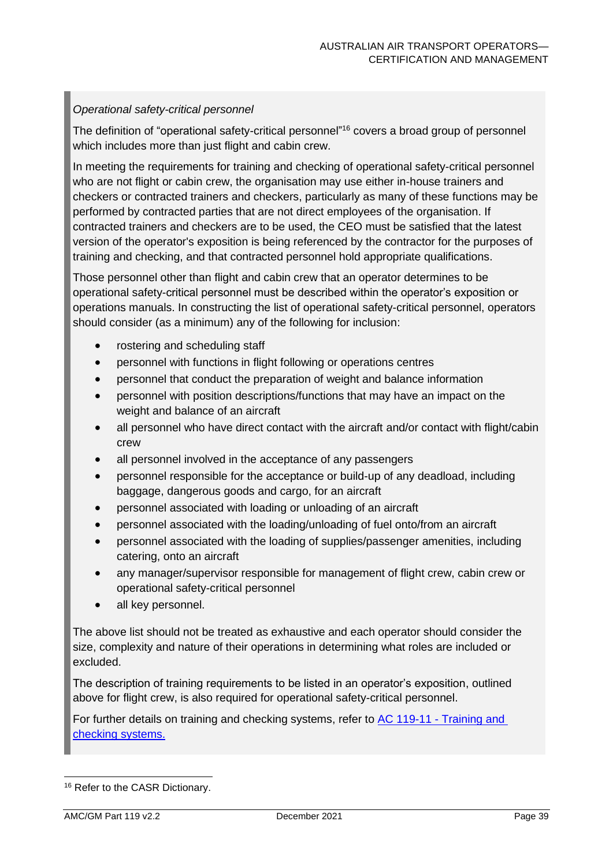#### *Operational safety-critical personnel*

The definition of "operational safety-critical personnel" <sup>16</sup> covers a broad group of personnel which includes more than just flight and cabin crew.

In meeting the requirements for training and checking of operational safety-critical personnel who are not flight or cabin crew, the organisation may use either in-house trainers and checkers or contracted trainers and checkers, particularly as many of these functions may be performed by contracted parties that are not direct employees of the organisation. If contracted trainers and checkers are to be used, the CEO must be satisfied that the latest version of the operator's exposition is being referenced by the contractor for the purposes of training and checking, and that contracted personnel hold appropriate qualifications.

Those personnel other than flight and cabin crew that an operator determines to be operational safety-critical personnel must be described within the operator's exposition or operations manuals. In constructing the list of operational safety-critical personnel, operators should consider (as a minimum) any of the following for inclusion:

- rostering and scheduling staff
- personnel with functions in flight following or operations centres
- personnel that conduct the preparation of weight and balance information
- personnel with position descriptions/functions that may have an impact on the weight and balance of an aircraft
- all personnel who have direct contact with the aircraft and/or contact with flight/cabin crew
- all personnel involved in the acceptance of any passengers
- personnel responsible for the acceptance or build-up of any deadload, including baggage, dangerous goods and cargo, for an aircraft
- personnel associated with loading or unloading of an aircraft
- personnel associated with the loading/unloading of fuel onto/from an aircraft
- personnel associated with the loading of supplies/passenger amenities, including catering, onto an aircraft
- any manager/supervisor responsible for management of flight crew, cabin crew or operational safety-critical personnel
- all key personnel.

The above list should not be treated as exhaustive and each operator should consider the size, complexity and nature of their operations in determining what roles are included or excluded.

The description of training requirements to be listed in an operator's exposition, outlined above for flight crew, is also required for operational safety-critical personnel.

For further details on training and checking systems, refer to AC 119-11 - Training and [checking systems.](https://www.casa.gov.au/search-centre/advisory-circulars)

<sup>16</sup> Refer to the CASR Dictionary.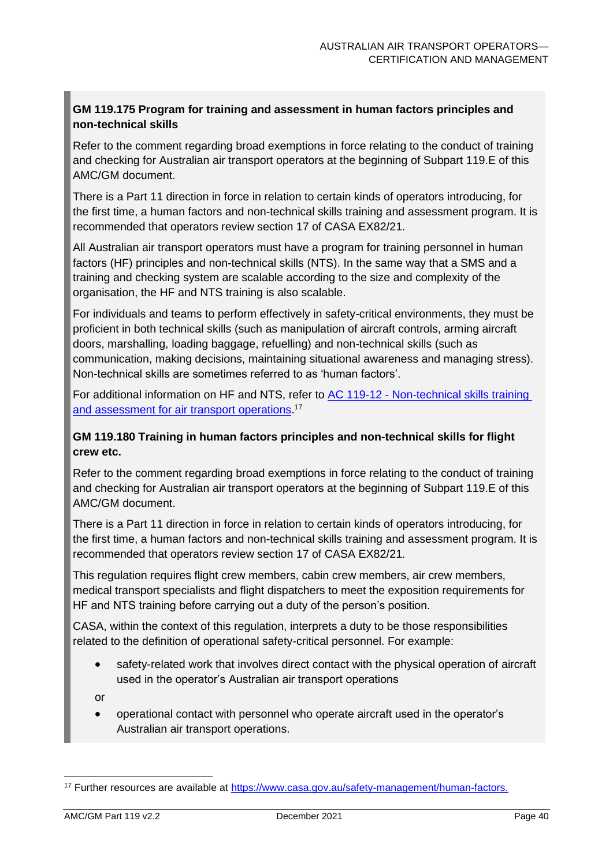#### **GM 119.175 Program for training and assessment in human factors principles and non-technical skills**

Refer to the comment regarding broad exemptions in force relating to the conduct of training and checking for Australian air transport operators at the beginning of Subpart 119.E of this AMC/GM document.

There is a Part 11 direction in force in relation to certain kinds of operators introducing, for the first time, a human factors and non-technical skills training and assessment program. It is recommended that operators review section 17 of CASA EX82/21.

All Australian air transport operators must have a program for training personnel in human factors (HF) principles and non-technical skills (NTS). In the same way that a SMS and a training and checking system are scalable according to the size and complexity of the organisation, the HF and NTS training is also scalable.

For individuals and teams to perform effectively in safety-critical environments, they must be proficient in both technical skills (such as manipulation of aircraft controls, arming aircraft doors, marshalling, loading baggage, refuelling) and non-technical skills (such as communication, making decisions, maintaining situational awareness and managing stress). Non-technical skills are sometimes referred to as 'human factors'.

For additional information on HF and NTS, refer to AC 119-12 - [Non-technical skills training](https://www.casa.gov.au/search-centre/advisory-circulars)  [and assessment for air transport operations.](https://www.casa.gov.au/search-centre/advisory-circulars)<sup>17</sup>

#### **GM 119.180 Training in human factors principles and non-technical skills for flight crew etc.**

Refer to the comment regarding broad exemptions in force relating to the conduct of training and checking for Australian air transport operators at the beginning of Subpart 119.E of this AMC/GM document.

There is a Part 11 direction in force in relation to certain kinds of operators introducing, for the first time, a human factors and non-technical skills training and assessment program. It is recommended that operators review section 17 of CASA EX82/21.

This regulation requires flight crew members, cabin crew members, air crew members, medical transport specialists and flight dispatchers to meet the exposition requirements for HF and NTS training before carrying out a duty of the person's position.

CASA, within the context of this regulation, interprets a duty to be those responsibilities related to the definition of operational safety-critical personnel. For example:

• safety-related work that involves direct contact with the physical operation of aircraft used in the operator's Australian air transport operations

or

• operational contact with personnel who operate aircraft used in the operator's Australian air transport operations.

<sup>17</sup> Further resources are available at [https://www.casa.gov.au/safety-management/human-factors.](https://www.casa.gov.au/safety-management/human-factors)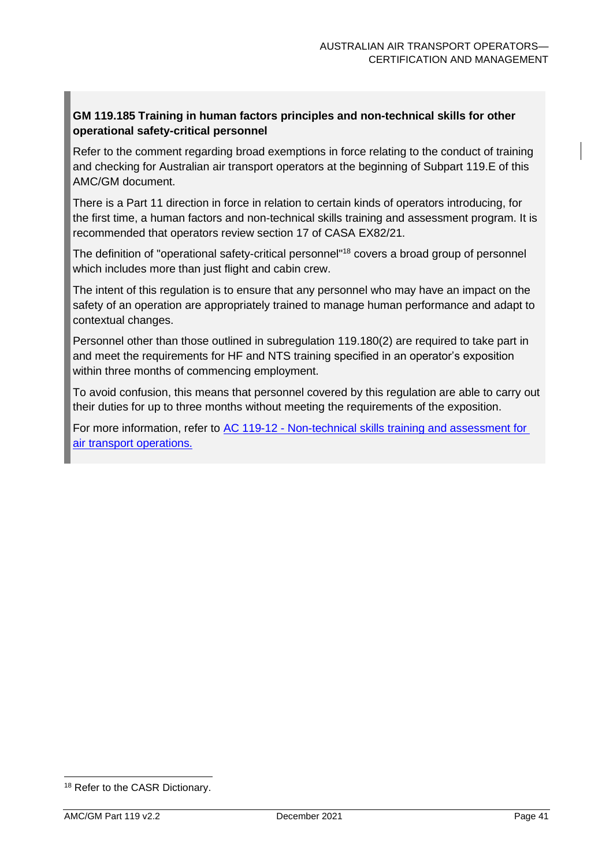#### **GM 119.185 Training in human factors principles and non-technical skills for other operational safety-critical personnel**

Refer to the comment regarding broad exemptions in force relating to the conduct of training and checking for Australian air transport operators at the beginning of Subpart 119.E of this AMC/GM document.

There is a Part 11 direction in force in relation to certain kinds of operators introducing, for the first time, a human factors and non-technical skills training and assessment program. It is recommended that operators review section 17 of CASA EX82/21.

The definition of "operational safety-critical personnel" <sup>18</sup> covers a broad group of personnel which includes more than just flight and cabin crew.

The intent of this regulation is to ensure that any personnel who may have an impact on the safety of an operation are appropriately trained to manage human performance and adapt to contextual changes.

Personnel other than those outlined in subregulation 119.180(2) are required to take part in and meet the requirements for HF and NTS training specified in an operator's exposition within three months of commencing employment.

To avoid confusion, this means that personnel covered by this regulation are able to carry out their duties for up to three months without meeting the requirements of the exposition.

For more information, refer to AC 119-12 - [Non-technical skills training and assessment for](https://www.casa.gov.au/search-centre/advisory-circulars)  [air transport](https://www.casa.gov.au/search-centre/advisory-circulars) operations.

<sup>18</sup> Refer to the CASR Dictionary.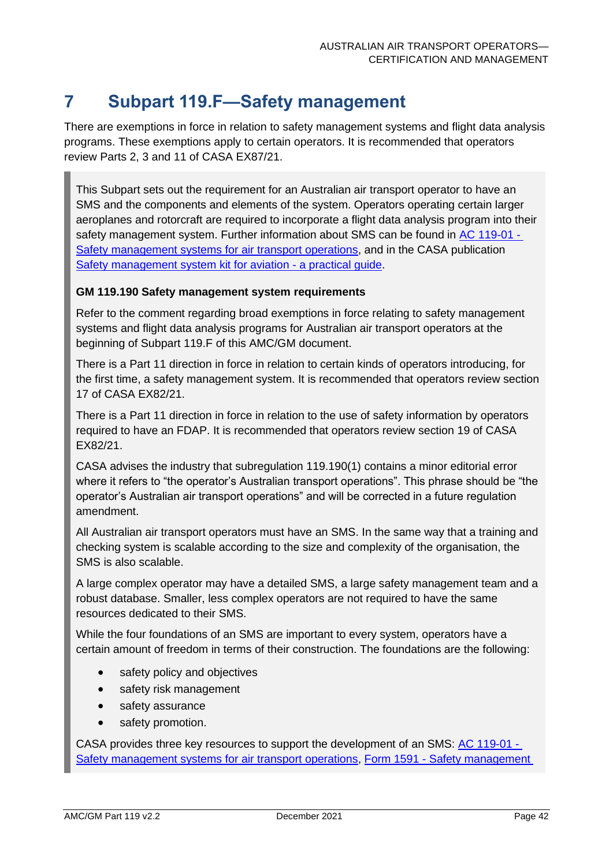### <span id="page-42-0"></span>**7 Subpart 119.F—Safety management**

There are exemptions in force in relation to safety management systems and flight data analysis programs. These exemptions apply to certain operators. It is recommended that operators review Parts 2, 3 and 11 of CASA EX87/21.

This Subpart sets out the requirement for an Australian air transport operator to have an SMS and the components and elements of the system. Operators operating certain larger aeroplanes and rotorcraft are required to incorporate a flight data analysis program into their safety management system. Further information about SMS can be found in [AC 119-01 -](https://www.casa.gov.au/search-centre/advisory-circulars) [Safety management systems for air transport operations,](https://www.casa.gov.au/search-centre/advisory-circulars) and in the CASA publication [Safety management system kit for aviation -](https://www.casa.gov.au/safety-management/safety-management-systems/safety-management-system-resource-kit) a practical guide.

#### **GM 119.190 Safety management system requirements**

Refer to the comment regarding broad exemptions in force relating to safety management systems and flight data analysis programs for Australian air transport operators at the beginning of Subpart 119.F of this AMC/GM document.

There is a Part 11 direction in force in relation to certain kinds of operators introducing, for the first time, a safety management system. It is recommended that operators review section 17 of CASA EX82/21.

There is a Part 11 direction in force in relation to the use of safety information by operators required to have an FDAP. It is recommended that operators review section 19 of CASA EX82/21.

CASA advises the industry that subregulation 119.190(1) contains a minor editorial error where it refers to "the operator's Australian transport operations". This phrase should be "the operator's Australian air transport operations" and will be corrected in a future regulation amendment.

All Australian air transport operators must have an SMS. In the same way that a training and checking system is scalable according to the size and complexity of the organisation, the SMS is also scalable.

A large complex operator may have a detailed SMS, a large safety management team and a robust database. Smaller, less complex operators are not required to have the same resources dedicated to their SMS.

While the four foundations of an SMS are important to every system, operators have a certain amount of freedom in terms of their construction. The foundations are the following:

- safety policy and objectives
- safety risk management
- safety assurance
- safety promotion.

CASA provides three key resources to support the development of an SMS: AC [119-01](https://www.casa.gov.au/search-centre/advisory-circulars) - [Safety management systems for air transport operations,](https://www.casa.gov.au/search-centre/advisory-circulars) Form 1591 - [Safety management](https://www.casa.gov.au/safety-management-system-sms-evaluation-tool-and-guidance)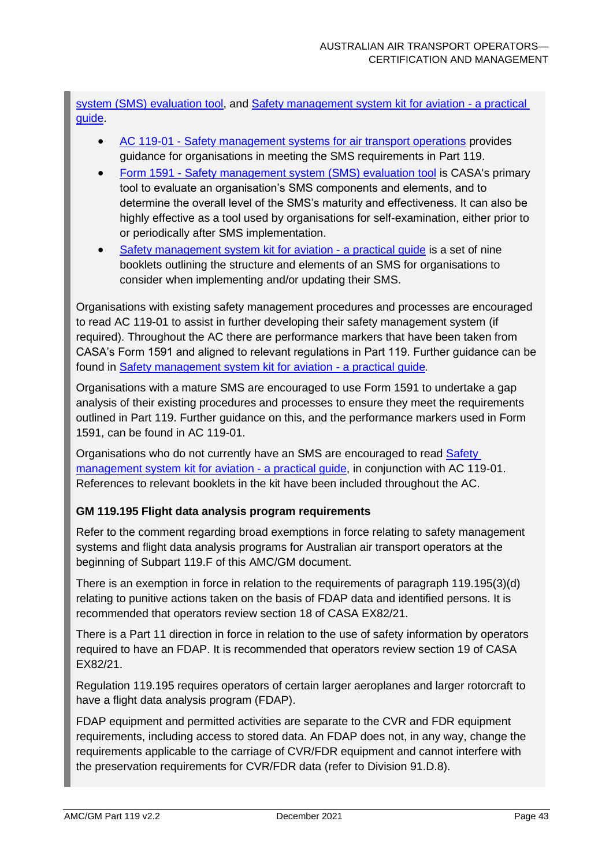[system \(SMS\) evaluation tool,](https://www.casa.gov.au/safety-management-system-sms-evaluation-tool-and-guidance) and [Safety management system kit for aviation -](https://www.casa.gov.au/safety-management/safety-management-systems/safety-management-system-resource-kit) a practical [guide.](https://www.casa.gov.au/safety-management/safety-management-systems/safety-management-system-resource-kit)

- AC 119-01 [Safety management systems for air transport operations](https://www.casa.gov.au/search-centre/advisory-circulars) provides guidance for organisations in meeting the SMS requirements in Part 119.
- Form 1591 [Safety management system \(SMS\) evaluation tool](https://www.casa.gov.au/safety-management-system-sms-evaluation-tool-and-guidance) is CASA's primary tool to evaluate an organisation's SMS components and elements, and to determine the overall level of the SMS's maturity and effectiveness. It can also be highly effective as a tool used by organisations for self-examination, either prior to or periodically after SMS implementation.
- [Safety management system kit for aviation -](https://www.casa.gov.au/safety-management/safety-management-systems/safety-management-system-resource-kit) a practical guide is a set of nine booklets outlining the structure and elements of an SMS for organisations to consider when implementing and/or updating their SMS.

Organisations with existing safety management procedures and processes are encouraged to read AC 119-01 to assist in further developing their safety management system (if required). Throughout the AC there are performance markers that have been taken from CASA's Form 1591 and aligned to relevant regulations in Part 119. Further guidance can be found in [Safety management system kit for aviation -](https://www.casa.gov.au/safety-management/safety-management-systems/safety-management-system-resource-kit) a practical guide*.*

Organisations with a mature SMS are encouraged to use Form 1591 to undertake a gap analysis of their existing procedures and processes to ensure they meet the requirements outlined in Part 119. Further guidance on this, and the performance markers used in Form 1591, can be found in AC 119-01.

Organisations who do not currently have an SMS are encouraged to read **Safety** [management system kit for aviation -](https://www.casa.gov.au/safety-management/safety-management-systems/safety-management-system-resource-kit) a practical guide, in conjunction with AC 119-01. References to relevant booklets in the kit have been included throughout the AC.

#### **GM 119.195 Flight data analysis program requirements**

Refer to the comment regarding broad exemptions in force relating to safety management systems and flight data analysis programs for Australian air transport operators at the beginning of Subpart 119.F of this AMC/GM document.

There is an exemption in force in relation to the requirements of paragraph 119.195(3)(d) relating to punitive actions taken on the basis of FDAP data and identified persons. It is recommended that operators review section 18 of CASA EX82/21.

There is a Part 11 direction in force in relation to the use of safety information by operators required to have an FDAP. It is recommended that operators review section 19 of CASA EX82/21.

Regulation 119.195 requires operators of certain larger aeroplanes and larger rotorcraft to have a flight data analysis program (FDAP).

FDAP equipment and permitted activities are separate to the CVR and FDR equipment requirements, including access to stored data. An FDAP does not, in any way, change the requirements applicable to the carriage of CVR/FDR equipment and cannot interfere with the preservation requirements for CVR/FDR data (refer to Division 91.D.8).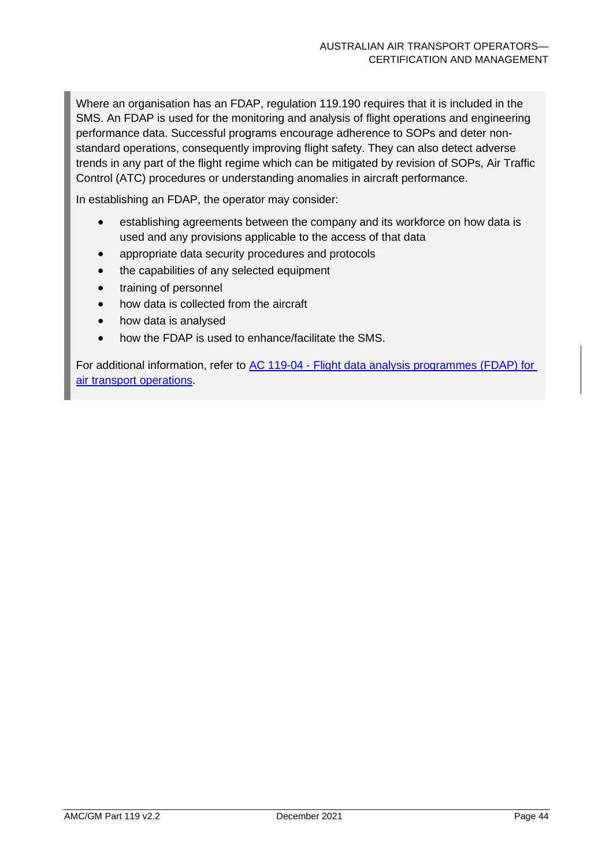Where an organisation has an FDAP, regulation 119.190 requires that it is included in the SMS. An FDAP is used for the monitoring and analysis of flight operations and engineering performance data. Successful programs encourage adherence to SOPs and deter nonstandard operations, consequently improving flight safety. They can also detect adverse trends in any part of the flight regime which can be mitigated by revision of SOPs, Air Traffic Control (ATC) procedures or understanding anomalies in aircraft performance.

In establishing an FDAP, the operator may consider:

- establishing agreements between the company and its workforce on how data is used and any provisions applicable to the access of that data
- appropriate data security procedures and protocols
- the capabilities of any selected equipment
- training of personnel
- how data is collected from the aircraft
- how data is analysed
- how the FDAP is used to enhance/facilitate the SMS.

For additional information, refer to AC 119-04 - [Flight data analysis programmes](https://www.casa.gov.au/search-centre/advisory-circulars) (FDAP) for [air transport operations.](https://www.casa.gov.au/search-centre/advisory-circulars)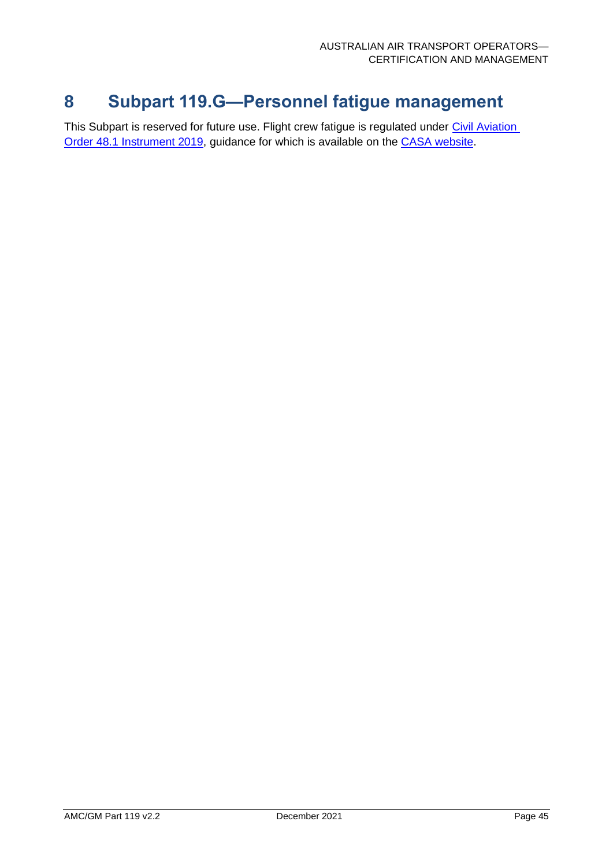### <span id="page-45-0"></span>**8 Subpart 119.G—Personnel fatigue management**

This Subpart is reserved for future use. Flight crew fatigue is regulated under Civil Aviation [Order 48.1 Instrument 2019,](https://www.legislation.gov.au/Details/F2021C01239) guidance for which is available on the [CASA website.](https://www.casa.gov.au/safety-management/fatigue-management)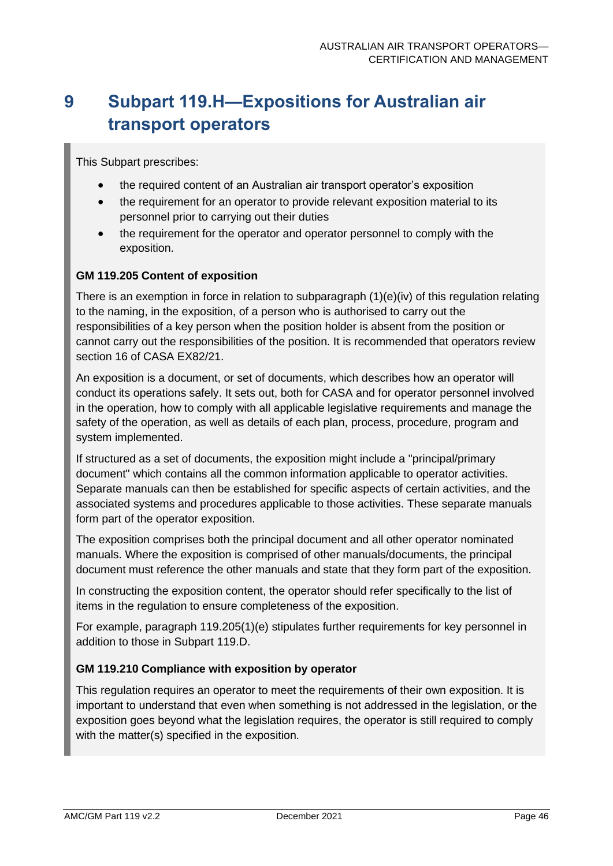# <span id="page-46-0"></span>**9 Subpart 119.H—Expositions for Australian air transport operators**

This Subpart prescribes:

- the required content of an Australian air transport operator's exposition
- the requirement for an operator to provide relevant exposition material to its personnel prior to carrying out their duties
- the requirement for the operator and operator personnel to comply with the exposition.

#### **GM 119.205 Content of exposition**

There is an exemption in force in relation to subparagraph  $(1)(e)(iv)$  of this regulation relating to the naming, in the exposition, of a person who is authorised to carry out the responsibilities of a key person when the position holder is absent from the position or cannot carry out the responsibilities of the position. It is recommended that operators review section 16 of CASA EX82/21.

An exposition is a document, or set of documents, which describes how an operator will conduct its operations safely. It sets out, both for CASA and for operator personnel involved in the operation, how to comply with all applicable legislative requirements and manage the safety of the operation, as well as details of each plan, process, procedure, program and system implemented.

If structured as a set of documents, the exposition might include a "principal/primary document" which contains all the common information applicable to operator activities. Separate manuals can then be established for specific aspects of certain activities, and the associated systems and procedures applicable to those activities. These separate manuals form part of the operator exposition.

The exposition comprises both the principal document and all other operator nominated manuals. Where the exposition is comprised of other manuals/documents, the principal document must reference the other manuals and state that they form part of the exposition.

In constructing the exposition content, the operator should refer specifically to the list of items in the regulation to ensure completeness of the exposition.

For example, paragraph 119.205(1)(e) stipulates further requirements for key personnel in addition to those in Subpart 119.D.

#### **GM 119.210 Compliance with exposition by operator**

This regulation requires an operator to meet the requirements of their own exposition. It is important to understand that even when something is not addressed in the legislation, or the exposition goes beyond what the legislation requires, the operator is still required to comply with the matter(s) specified in the exposition.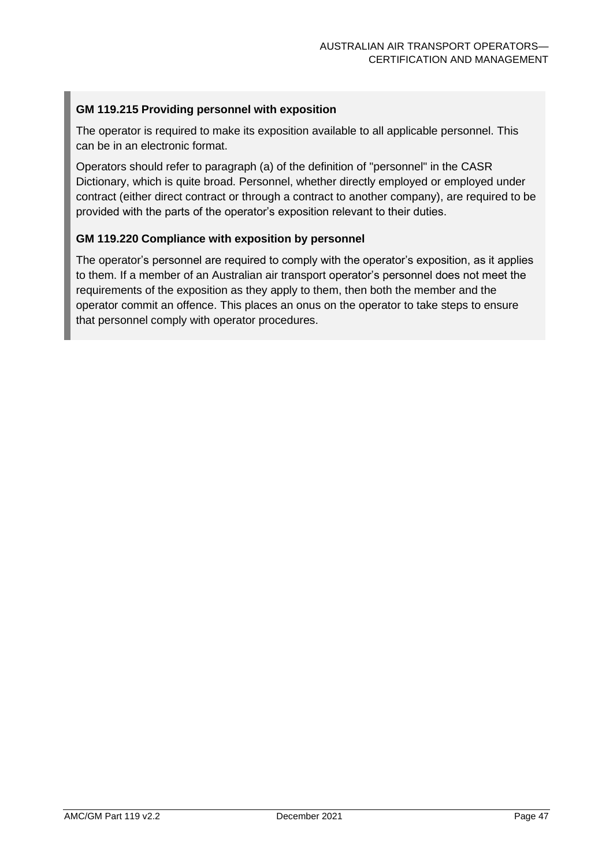#### **GM 119.215 Providing personnel with exposition**

The operator is required to make its exposition available to all applicable personnel. This can be in an electronic format.

Operators should refer to paragraph (a) of the definition of "personnel" in the CASR Dictionary, which is quite broad. Personnel, whether directly employed or employed under contract (either direct contract or through a contract to another company), are required to be provided with the parts of the operator's exposition relevant to their duties.

#### **GM 119.220 Compliance with exposition by personnel**

The operator's personnel are required to comply with the operator's exposition, as it applies to them. If a member of an Australian air transport operator's personnel does not meet the requirements of the exposition as they apply to them, then both the member and the operator commit an offence. This places an onus on the operator to take steps to ensure that personnel comply with operator procedures.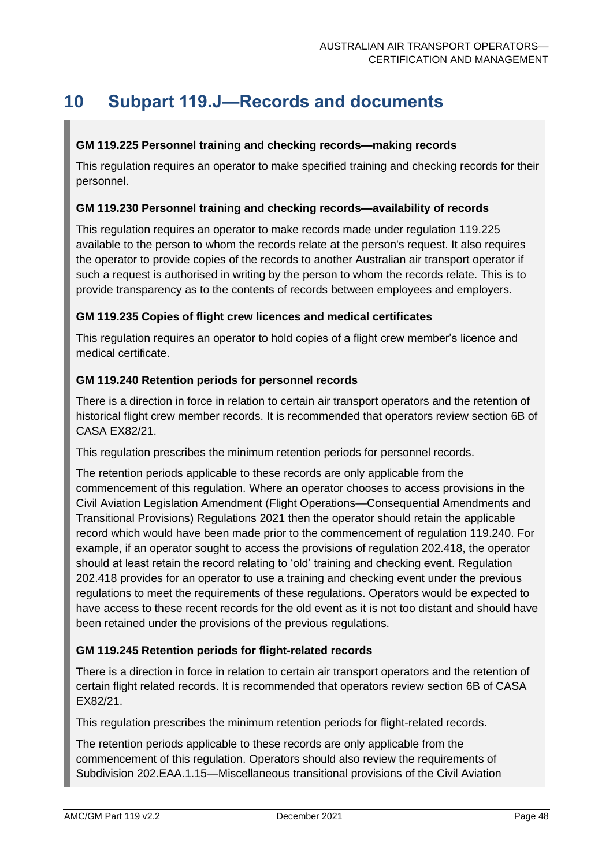## <span id="page-48-0"></span>**10 Subpart 119.J—Records and documents**

#### **GM 119.225 Personnel training and checking records—making records**

This regulation requires an operator to make specified training and checking records for their personnel.

#### **GM 119.230 Personnel training and checking records—availability of records**

This regulation requires an operator to make records made under regulation 119.225 available to the person to whom the records relate at the person's request. It also requires the operator to provide copies of the records to another Australian air transport operator if such a request is authorised in writing by the person to whom the records relate. This is to provide transparency as to the contents of records between employees and employers.

#### **GM 119.235 Copies of flight crew licences and medical certificates**

This regulation requires an operator to hold copies of a flight crew member's licence and medical certificate.

#### **GM 119.240 Retention periods for personnel records**

There is a direction in force in relation to certain air transport operators and the retention of historical flight crew member records. It is recommended that operators review section 6B of CASA EX82/21.

This regulation prescribes the minimum retention periods for personnel records.

The retention periods applicable to these records are only applicable from the commencement of this regulation. Where an operator chooses to access provisions in the Civil Aviation Legislation Amendment (Flight Operations—Consequential Amendments and Transitional Provisions) Regulations 2021 then the operator should retain the applicable record which would have been made prior to the commencement of regulation 119.240. For example, if an operator sought to access the provisions of regulation 202.418, the operator should at least retain the record relating to 'old' training and checking event. Regulation 202.418 provides for an operator to use a training and checking event under the previous regulations to meet the requirements of these regulations. Operators would be expected to have access to these recent records for the old event as it is not too distant and should have been retained under the provisions of the previous regulations.

#### **GM 119.245 Retention periods for flight-related records**

There is a direction in force in relation to certain air transport operators and the retention of certain flight related records. It is recommended that operators review section 6B of CASA EX82/21.

This regulation prescribes the minimum retention periods for flight-related records.

The retention periods applicable to these records are only applicable from the commencement of this regulation. Operators should also review the requirements of Subdivision 202.EAA.1.15—Miscellaneous transitional provisions of the Civil Aviation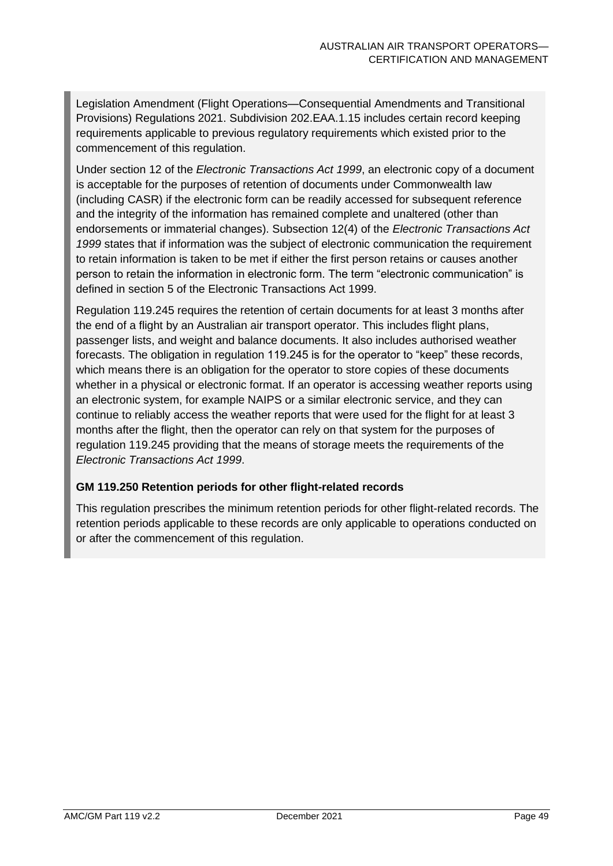Legislation Amendment (Flight Operations—Consequential Amendments and Transitional Provisions) Regulations 2021. Subdivision 202.EAA.1.15 includes certain record keeping requirements applicable to previous regulatory requirements which existed prior to the commencement of this regulation.

Under section 12 of the *Electronic Transactions Act 1999*, an electronic copy of a document is acceptable for the purposes of retention of documents under Commonwealth law (including CASR) if the electronic form can be readily accessed for subsequent reference and the integrity of the information has remained complete and unaltered (other than endorsements or immaterial changes). Subsection 12(4) of the *Electronic Transactions Act 1999* states that if information was the subject of electronic communication the requirement to retain information is taken to be met if either the first person retains or causes another person to retain the information in electronic form. The term "electronic communication" is defined in section 5 of the Electronic Transactions Act 1999.

Regulation 119.245 requires the retention of certain documents for at least 3 months after the end of a flight by an Australian air transport operator. This includes flight plans, passenger lists, and weight and balance documents. It also includes authorised weather forecasts. The obligation in regulation 119.245 is for the operator to "keep" these records, which means there is an obligation for the operator to store copies of these documents whether in a physical or electronic format. If an operator is accessing weather reports using an electronic system, for example NAIPS or a similar electronic service, and they can continue to reliably access the weather reports that were used for the flight for at least 3 months after the flight, then the operator can rely on that system for the purposes of regulation 119.245 providing that the means of storage meets the requirements of the *Electronic Transactions Act 1999*.

#### **GM 119.250 Retention periods for other flight-related records**

This regulation prescribes the minimum retention periods for other flight-related records. The retention periods applicable to these records are only applicable to operations conducted on or after the commencement of this regulation.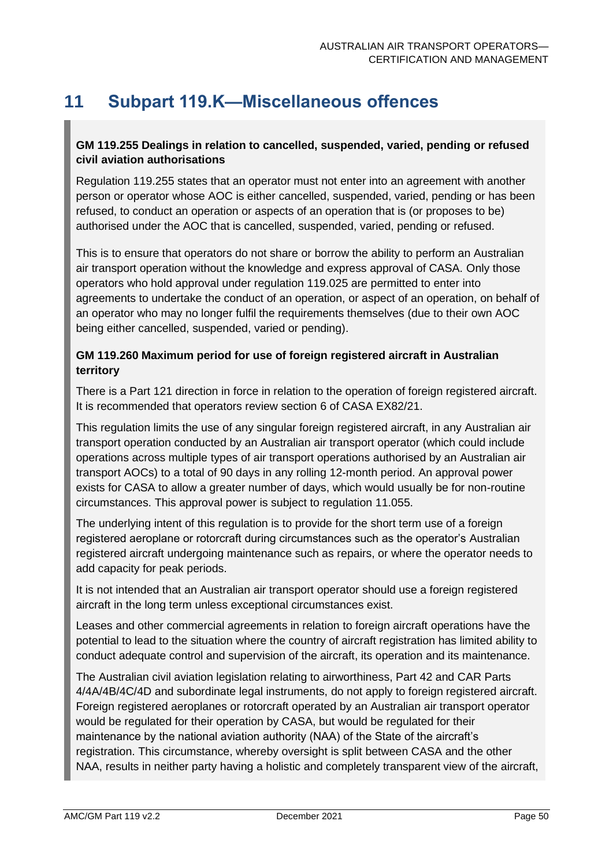### <span id="page-50-0"></span>**11 Subpart 119.K—Miscellaneous offences**

#### **GM 119.255 Dealings in relation to cancelled, suspended, varied, pending or refused civil aviation authorisations**

Regulation 119.255 states that an operator must not enter into an agreement with another person or operator whose AOC is either cancelled, suspended, varied, pending or has been refused, to conduct an operation or aspects of an operation that is (or proposes to be) authorised under the AOC that is cancelled, suspended, varied, pending or refused.

This is to ensure that operators do not share or borrow the ability to perform an Australian air transport operation without the knowledge and express approval of CASA. Only those operators who hold approval under regulation 119.025 are permitted to enter into agreements to undertake the conduct of an operation, or aspect of an operation, on behalf of an operator who may no longer fulfil the requirements themselves (due to their own AOC being either cancelled, suspended, varied or pending).

#### **GM 119.260 Maximum period for use of foreign registered aircraft in Australian territory**

There is a Part 121 direction in force in relation to the operation of foreign registered aircraft. It is recommended that operators review section 6 of CASA EX82/21.

This regulation limits the use of any singular foreign registered aircraft, in any Australian air transport operation conducted by an Australian air transport operator (which could include operations across multiple types of air transport operations authorised by an Australian air transport AOCs) to a total of 90 days in any rolling 12-month period. An approval power exists for CASA to allow a greater number of days, which would usually be for non-routine circumstances. This approval power is subject to regulation 11.055.

The underlying intent of this regulation is to provide for the short term use of a foreign registered aeroplane or rotorcraft during circumstances such as the operator's Australian registered aircraft undergoing maintenance such as repairs, or where the operator needs to add capacity for peak periods.

It is not intended that an Australian air transport operator should use a foreign registered aircraft in the long term unless exceptional circumstances exist.

Leases and other commercial agreements in relation to foreign aircraft operations have the potential to lead to the situation where the country of aircraft registration has limited ability to conduct adequate control and supervision of the aircraft, its operation and its maintenance.

The Australian civil aviation legislation relating to airworthiness, Part 42 and CAR Parts 4/4A/4B/4C/4D and subordinate legal instruments, do not apply to foreign registered aircraft. Foreign registered aeroplanes or rotorcraft operated by an Australian air transport operator would be regulated for their operation by CASA, but would be regulated for their maintenance by the national aviation authority (NAA) of the State of the aircraft's registration. This circumstance, whereby oversight is split between CASA and the other NAA, results in neither party having a holistic and completely transparent view of the aircraft,